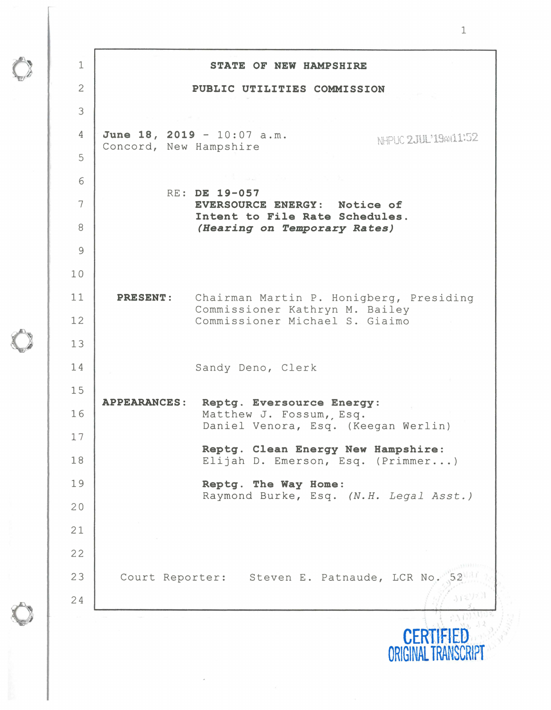| $\mathbf 1$    | STATE OF NEW HAMPSHIRE                                                      |                      |
|----------------|-----------------------------------------------------------------------------|----------------------|
| $\overline{2}$ | PUBLIC UTILITIES COMMISSION                                                 |                      |
| 3              |                                                                             |                      |
| 4              | June 18, 2019 - $10:07$ a.m.                                                | NHPUC 2JUL'19AN11-52 |
| 5              | Concord, New Hampshire                                                      |                      |
| 6              |                                                                             |                      |
| 7              | RE: DE 19-057<br>EVERSOURCE ENERGY: Notice of                               |                      |
| 8              | Intent to File Rate Schedules.<br>(Hearing on Temporary Rates)              |                      |
| $\overline{9}$ |                                                                             |                      |
| 10             |                                                                             |                      |
| 11             | <b>PRESENT:</b><br>Chairman Martin P. Honigberg, Presiding                  |                      |
| 12             | Commissioner Kathryn M. Bailey<br>Commissioner Michael S. Giaimo            |                      |
| 13             |                                                                             |                      |
| 14             | Sandy Deno, Clerk                                                           |                      |
| 15             |                                                                             |                      |
| 16             | <b>APPEARANCES:</b><br>Reptg. Eversource Energy:<br>Matthew J. Fossum, Esq. |                      |
| 17             | Daniel Venora, Esq. (Keegan Werlin)                                         |                      |
| 18             | Reptg. Clean Energy New Hampshire:<br>Elijah D. Emerson, Esq. (Primmer)     |                      |
| 19             | Reptg. The Way Home:                                                        |                      |
| 20             | Raymond Burke, Esq. (N.H. Legal Asst.)                                      |                      |
| 21             |                                                                             |                      |
| 22             |                                                                             |                      |
| 23             | Court Reporter: Steven E. Patnaude, LCR No.                                 |                      |
| 24             |                                                                             |                      |
|                |                                                                             | <b>CERTISED</b>      |

 $\bullet$ 

 $\bullet$ 

 $\bullet$ 

**CERTlFIED ORIGINAL TRANSCRIPT**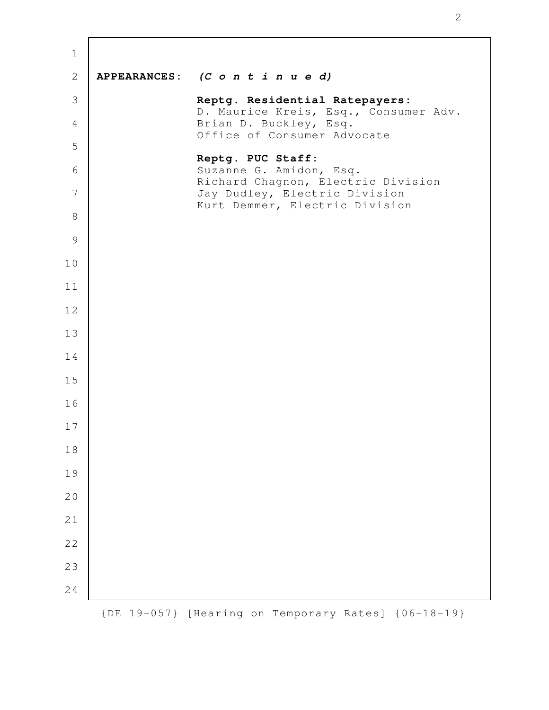| $\mathbf 1$    |                              |                                                                         |
|----------------|------------------------------|-------------------------------------------------------------------------|
| $\overline{2}$ |                              | APPEARANCES: $(C \circ n \ t \ i \ n \ u \ e \ d)$                      |
| 3              |                              | Reptg. Residential Ratepayers:<br>D. Maurice Kreis, Esq., Consumer Adv. |
| 4              |                              | Brian D. Buckley, Esq.<br>Office of Consumer Advocate                   |
| 5              |                              | Reptg. PUC Staff:                                                       |
| 6              |                              | Suzanne G. Amidon, Esq.<br>Richard Chagnon, Electric Division           |
| 7              |                              | Jay Dudley, Electric Division<br>Kurt Demmer, Electric Division         |
| $8\,$          |                              |                                                                         |
| $\mathcal{G}$  |                              |                                                                         |
| 10             |                              |                                                                         |
| 11             |                              |                                                                         |
| 12             |                              |                                                                         |
| 13             |                              |                                                                         |
| 14             |                              |                                                                         |
| 15             |                              |                                                                         |
| 16             |                              |                                                                         |
| 17             |                              |                                                                         |
| 18             |                              |                                                                         |
| 19             |                              |                                                                         |
| 20             |                              |                                                                         |
| 21             |                              |                                                                         |
| 22             |                              |                                                                         |
| 23             |                              |                                                                         |
| 24             |                              |                                                                         |
|                | $19 - 057$ }<br>$\left\{$ DE | [Hearing on Temporary Rates]<br>${06 - 18 - 19}$                        |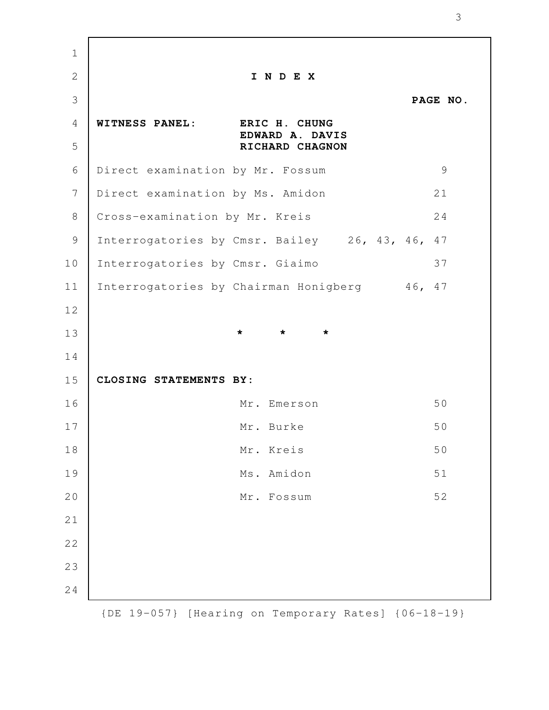**I N D E X PAGE NO. WITNESS PANEL: ERIC H. CHUNG EDWARD A. DAVIS RICHARD CHAGNON** Direct examination by Mr. Fossum 9 Direct examination by Ms. Amidon 21 Cross-examination by Mr. Kreis 24 Interrogatories by Cmsr. Bailey 26, 43, 46, 47 Interrogatories by Cmsr. Giaimo 37 Interrogatories by Chairman Honigberg 46, 47 **\* \* \* CLOSING STATEMENTS BY:**  Mr. Emerson 50 Mr. Burke 50 Mr. Kreis 50 Ms. Amidon 51 Mr. Fossum 52 {DE 19-057} [Hearing on Temporary Rates] {06-18-19} 1 2 3 4 5 6 7 8 9 10 11 12 13 14 15 16 17 18 19 20 21 22 23 24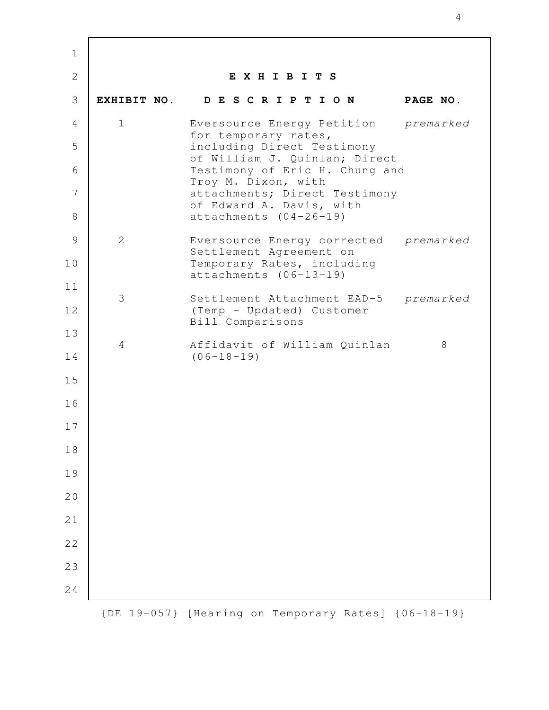| $\mathbf 1$    |                  |                                                                  |           |
|----------------|------------------|------------------------------------------------------------------|-----------|
| $\overline{2}$ |                  | EXHIBITS                                                         |           |
| 3              |                  | EXHIBIT NO. DESCRIPTION                                          | PAGE NO.  |
| 4              | $\mathbf 1$      | Eversource Energy Petition premarked<br>for temporary rates,     |           |
| 5              |                  | including Direct Testimony<br>of William J. Quinlan; Direct      |           |
| 6              |                  | Testimony of Eric H. Chung and<br>Troy M. Dixon, with            |           |
| 7              |                  | attachments; Direct Testimony<br>of Edward A. Davis, with        |           |
| 8              |                  | $attachments (04-26-19)$                                         |           |
| 9              | 2                | Eversource Energy corrected premarked<br>Settlement Agreement on |           |
| 10             |                  | Temporary Rates, including<br>$attachments (06-13-19)$           |           |
| 11             | 3                | Settlement Attachment EAD-5                                      | premarked |
| 12             |                  | (Temp - Updated) Customer<br>Bill Comparisons                    |           |
| 13             | 4                | Affidavit of William Quinlan                                     | 8         |
| 14             |                  | $(06 - 18 - 19)$                                                 |           |
| 15             |                  |                                                                  |           |
| 16             |                  |                                                                  |           |
| 17             |                  |                                                                  |           |
| 18             |                  |                                                                  |           |
| 19             |                  |                                                                  |           |
| 20             |                  |                                                                  |           |
| 21             |                  |                                                                  |           |
| 22             |                  |                                                                  |           |
| 23             |                  |                                                                  |           |
| 24             |                  |                                                                  |           |
|                | $\{DE\ 19-057\}$ | [Hearing on Temporary Rates] {06-18-19}                          |           |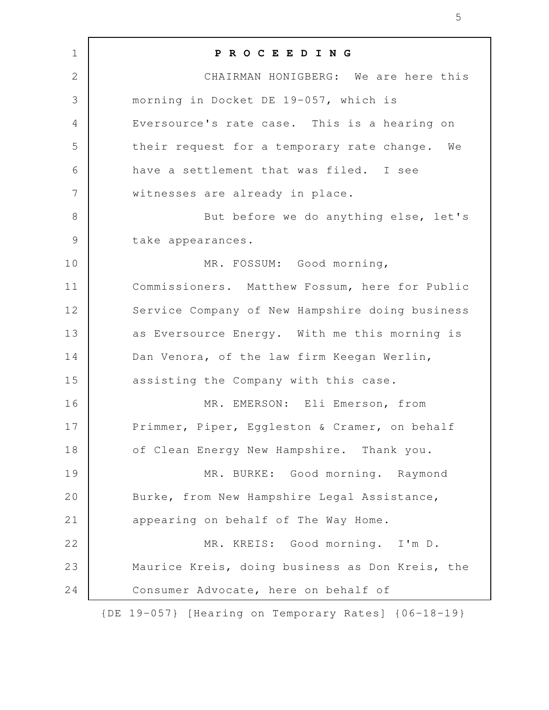| $\mathbf 1$    | PROCEEDING                                          |
|----------------|-----------------------------------------------------|
| $\mathbf{2}$   | CHAIRMAN HONIGBERG: We are here this                |
| 3              | morning in Docket DE 19-057, which is               |
| 4              | Eversource's rate case. This is a hearing on        |
| 5              | their request for a temporary rate change. We       |
| 6              | have a settlement that was filed. I see             |
| $\overline{7}$ | witnesses are already in place.                     |
| $8\,$          | But before we do anything else, let's               |
| $\mathcal{G}$  | take appearances.                                   |
| 10             | MR. FOSSUM: Good morning,                           |
| 11             | Commissioners. Matthew Fossum, here for Public      |
| 12             | Service Company of New Hampshire doing business     |
| 13             | as Eversource Energy. With me this morning is       |
| 14             | Dan Venora, of the law firm Keegan Werlin,          |
| 15             | assisting the Company with this case.               |
| 16             | MR. EMERSON: Eli Emerson, from                      |
| 17             | Primmer, Piper, Eggleston & Cramer, on behalf       |
| 18             | of Clean Energy New Hampshire. Thank you.           |
| 19             | MR. BURKE: Good morning. Raymond                    |
| 20             | Burke, from New Hampshire Legal Assistance,         |
| 21             | appearing on behalf of The Way Home.                |
| 22             | MR. KREIS: Good morning. I'm D.                     |
| 23             | Maurice Kreis, doing business as Don Kreis, the     |
| 24             | Consumer Advocate, here on behalf of                |
|                | {DE 19-057} [Hearing on Temporary Rates] {06-18-19} |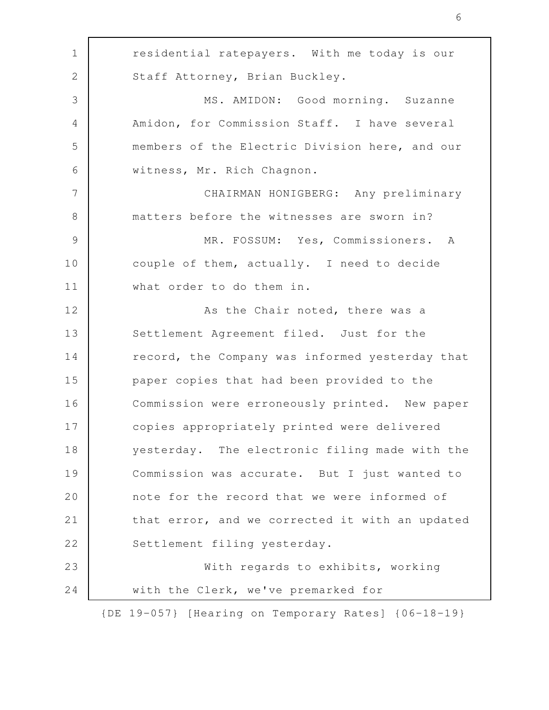residential ratepayers. With me today is our Staff Attorney, Brian Buckley. MS. AMIDON: Good morning. Suzanne Amidon, for Commission Staff. I have several members of the Electric Division here, and our witness, Mr. Rich Chagnon. CHAIRMAN HONIGBERG: Any preliminary matters before the witnesses are sworn in? MR. FOSSUM: Yes, Commissioners. A couple of them, actually. I need to decide what order to do them in. As the Chair noted, there was a Settlement Agreement filed. Just for the record, the Company was informed yesterday that paper copies that had been provided to the Commission were erroneously printed. New paper copies appropriately printed were delivered yesterday. The electronic filing made with the Commission was accurate. But I just wanted to note for the record that we were informed of that error, and we corrected it with an updated Settlement filing yesterday. With regards to exhibits, working with the Clerk, we've premarked for {DE 19-057} [Hearing on Temporary Rates] {06-18-19} 1 2 3 4 5 6 7 8 9 10 11 12 13 14 15 16 17 18 19 20 21 22 23 24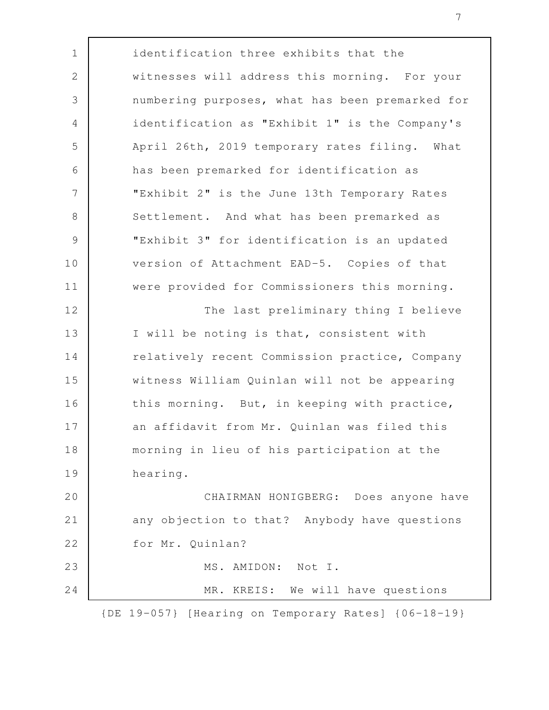identification three exhibits that the witnesses will address this morning. For your numbering purposes, what has been premarked for identification as "Exhibit 1" is the Company's April 26th, 2019 temporary rates filing. What has been premarked for identification as "Exhibit 2" is the June 13th Temporary Rates Settlement. And what has been premarked as "Exhibit 3" for identification is an updated version of Attachment EAD-5. Copies of that were provided for Commissioners this morning. The last preliminary thing I believe I will be noting is that, consistent with relatively recent Commission practice, Company witness William Quinlan will not be appearing this morning. But, in keeping with practice, an affidavit from Mr. Quinlan was filed this morning in lieu of his participation at the hearing. CHAIRMAN HONIGBERG: Does anyone have any objection to that? Anybody have questions for Mr. Quinlan? MS. AMIDON: Not I. MR. KREIS: We will have questions {DE 19-057} [Hearing on Temporary Rates] {06-18-19} 1 2 3 4 5 6 7 8 9 10 11 12 13 14 15 16 17 18 19 20 21 22 23 24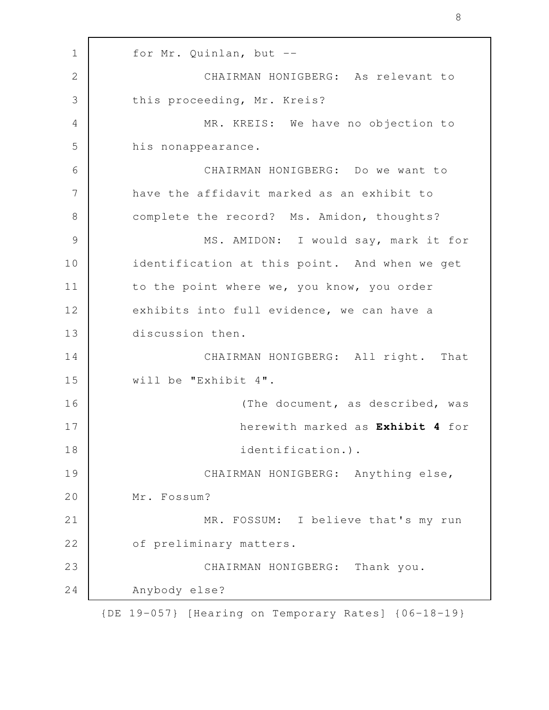for Mr. Quinlan, but -- CHAIRMAN HONIGBERG: As relevant to this proceeding, Mr. Kreis? MR. KREIS: We have no objection to his nonappearance. CHAIRMAN HONIGBERG: Do we want to have the affidavit marked as an exhibit to complete the record? Ms. Amidon, thoughts? MS. AMIDON: I would say, mark it for identification at this point. And when we get to the point where we, you know, you order exhibits into full evidence, we can have a discussion then. CHAIRMAN HONIGBERG: All right. That will be "Exhibit 4". (The document, as described, was herewith marked as **Exhibit 4** for identification.). CHAIRMAN HONIGBERG: Anything else, Mr. Fossum? MR. FOSSUM: I believe that's my run of preliminary matters. CHAIRMAN HONIGBERG: Thank you. Anybody else? {DE 19-057} [Hearing on Temporary Rates] {06-18-19} 1 2 3 4 5 6 7 8 9 10 11 12 13 14 15 16 17 18 19 20 21 22 23 24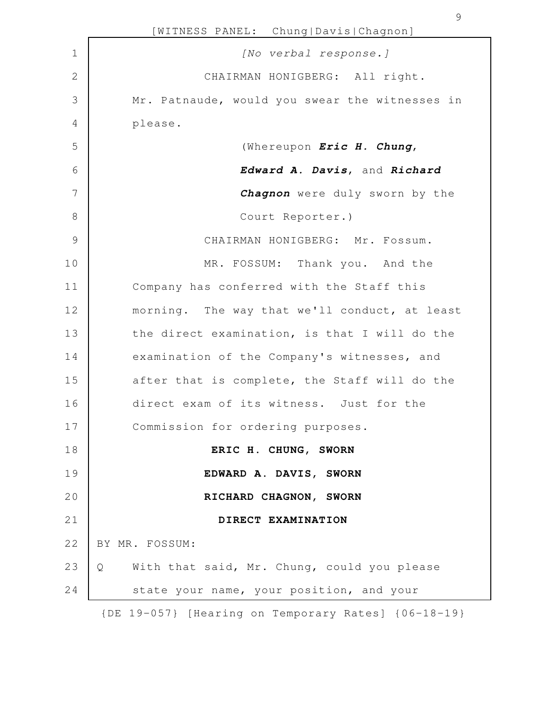|               | [WITNESS PANEL: Chung Davis Chagnon]                |
|---------------|-----------------------------------------------------|
| $\mathbf 1$   | [No verbal response.]                               |
| $\mathbf{2}$  | CHAIRMAN HONIGBERG: All right.                      |
| 3             | Mr. Patnaude, would you swear the witnesses in      |
| 4             | please.                                             |
| 5             | (Whereupon Eric H. Chung,                           |
| 6             | Edward A. Davis, and Richard                        |
| 7             | Chagnon were duly sworn by the                      |
| $8\,$         | Court Reporter.)                                    |
| $\mathcal{G}$ | CHAIRMAN HONIGBERG: Mr. Fossum.                     |
| 10            | MR. FOSSUM: Thank you. And the                      |
| 11            | Company has conferred with the Staff this           |
| 12            | morning. The way that we'll conduct, at least       |
| 13            | the direct examination, is that I will do the       |
| 14            | examination of the Company's witnesses, and         |
| 15            | after that is complete, the Staff will do the       |
| 16            | direct exam of its witness. Just for the            |
| 17            | Commission for ordering purposes.                   |
| 18            | ERIC H. CHUNG, SWORN                                |
| 19            | EDWARD A. DAVIS, SWORN                              |
| 20            | RICHARD CHAGNON, SWORN                              |
| 21            | DIRECT EXAMINATION                                  |
| 22            | BY MR. FOSSUM:                                      |
| 23            | With that said, Mr. Chung, could you please<br>Q    |
| 24            | state your name, your position, and your            |
|               | {DE 19-057} [Hearing on Temporary Rates] {06-18-19} |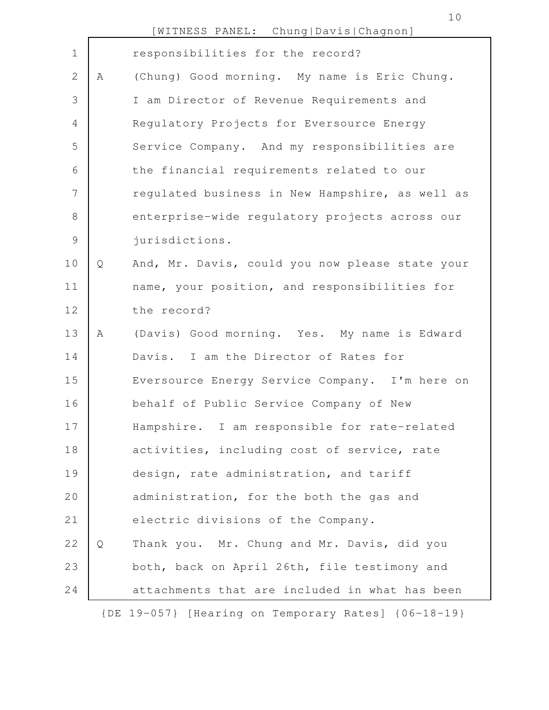|  | [WITNESS PANEL: |  | Chung Davis Chagnon] |
|--|-----------------|--|----------------------|
|--|-----------------|--|----------------------|

| $\mathbf 1$    |   | responsibilities for the record?                |
|----------------|---|-------------------------------------------------|
| $\overline{2}$ | A | (Chung) Good morning. My name is Eric Chung.    |
| 3              |   | I am Director of Revenue Requirements and       |
| 4              |   | Regulatory Projects for Eversource Energy       |
| 5              |   | Service Company. And my responsibilities are    |
| 6              |   | the financial requirements related to our       |
| 7              |   | regulated business in New Hampshire, as well as |
| 8              |   | enterprise-wide regulatory projects across our  |
| $\mathcal{G}$  |   | jurisdictions.                                  |
| 10             | Q | And, Mr. Davis, could you now please state your |
| 11             |   | name, your position, and responsibilities for   |
| 12             |   | the record?                                     |
| 13             | A | (Davis) Good morning. Yes. My name is Edward    |
| 14             |   | Davis. I am the Director of Rates for           |
| 15             |   | Eversource Energy Service Company. I'm here on  |
| 16             |   | behalf of Public Service Company of New         |
| 17             |   | Hampshire. I am responsible for rate-related    |
| 18             |   | activities, including cost of service, rate     |
| 19             |   | design, rate administration, and tariff         |
| 20             |   | administration, for the both the gas and        |
| 21             |   | electric divisions of the Company.              |
| 22             | Q | Thank you. Mr. Chung and Mr. Davis, did you     |
| 23             |   | both, back on April 26th, file testimony and    |
| 24             |   | attachments that are included in what has been  |
|                |   |                                                 |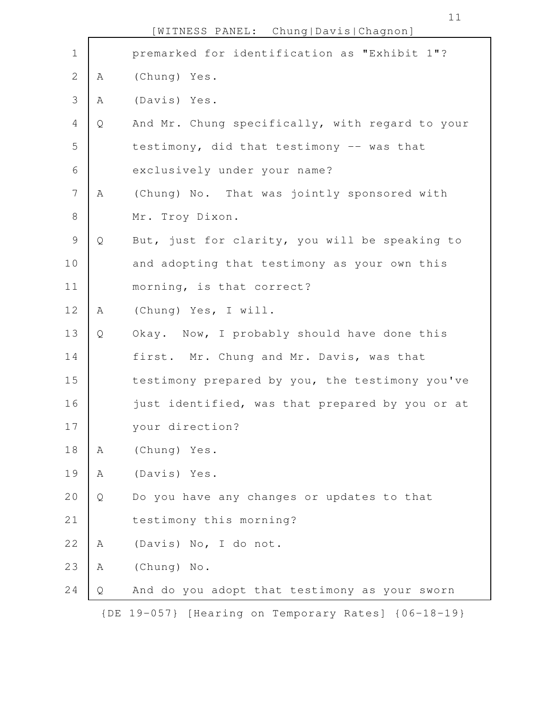|                |   | [WITNESS PANEL: Chung Davis Chagnon]                |
|----------------|---|-----------------------------------------------------|
| $\mathbf 1$    |   | premarked for identification as "Exhibit 1"?        |
| $\sqrt{2}$     | Α | (Chung) Yes.                                        |
| 3              | Α | (Davis) Yes.                                        |
| $\overline{4}$ | Q | And Mr. Chung specifically, with regard to your     |
| 5              |   | testimony, did that testimony -- was that           |
| 6              |   | exclusively under your name?                        |
| $\overline{7}$ | Α | (Chung) No. That was jointly sponsored with         |
| $\,8\,$        |   | Mr. Troy Dixon.                                     |
| $\mathcal{G}$  | Q | But, just for clarity, you will be speaking to      |
| 10             |   | and adopting that testimony as your own this        |
| 11             |   | morning, is that correct?                           |
| 12             | Α | (Chung) Yes, I will.                                |
| 13             | Q | Okay. Now, I probably should have done this         |
| 14             |   | first. Mr. Chung and Mr. Davis, was that            |
| 15             |   | testimony prepared by you, the testimony you've     |
| 16             |   | just identified, was that prepared by you or at     |
| 17             |   | your direction?                                     |
| 18             | Α | (Chung) Yes.                                        |
| 19             | Α | (Davis) Yes.                                        |
| 20             | Q | Do you have any changes or updates to that          |
| 21             |   | testimony this morning?                             |
| 22             | Α | (Davis) No, I do not.                               |
| 23             | Α | (Chung) No.                                         |
| 24             | Q | And do you adopt that testimony as your sworn       |
|                |   | {DE 19-057} [Hearing on Temporary Rates] {06-18-19} |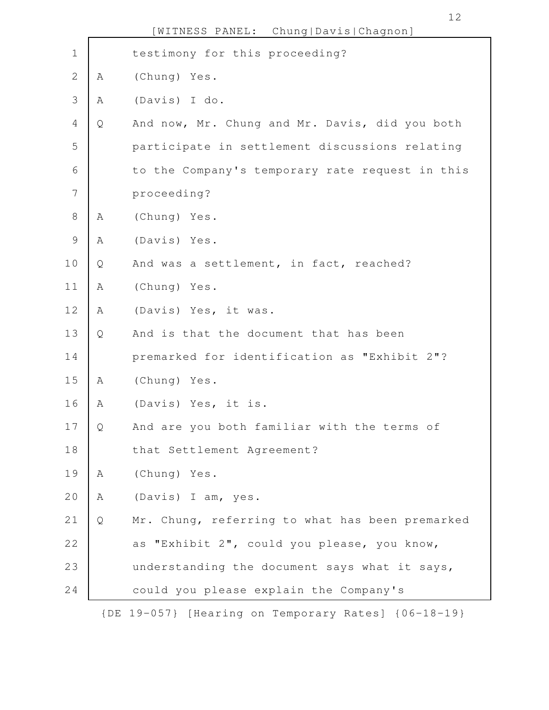|                |   | Chung   Davis   Chagnon]<br>[WITNESS PANEL:     |
|----------------|---|-------------------------------------------------|
| $\mathbf 1$    |   | testimony for this proceeding?                  |
| $\mathbf{2}$   | Α | (Chung) Yes.                                    |
| 3              | Α | (Davis) I do.                                   |
| 4              | Q | And now, Mr. Chung and Mr. Davis, did you both  |
| 5              |   | participate in settlement discussions relating  |
| 6              |   | to the Company's temporary rate request in this |
| $\overline{7}$ |   | proceeding?                                     |
| $\,8\,$        | Α | (Chung) Yes.                                    |
| $\mathsf{S}$   | Α | (Davis) Yes.                                    |
| 10             | Q | And was a settlement, in fact, reached?         |
| 11             | Α | (Chung) Yes.                                    |
| 12             | Α | (Davis) Yes, it was.                            |
| 13             | Q | And is that the document that has been          |
| 14             |   | premarked for identification as "Exhibit 2"?    |
| 15             | Α | (Chung) Yes.                                    |
| 16             | Α | (Davis) Yes, it is.                             |
| 17             | Q | And are you both familiar with the terms of     |
| 18             |   | that Settlement Agreement?                      |
| 19             | Α | (Chung) Yes.                                    |
| 20             | Α | (Davis) I am, yes.                              |
| 21             | Q | Mr. Chung, referring to what has been premarked |
| 22             |   | as "Exhibit 2", could you please, you know,     |
| 23             |   | understanding the document says what it says,   |
| 24             |   | could you please explain the Company's          |
|                |   |                                                 |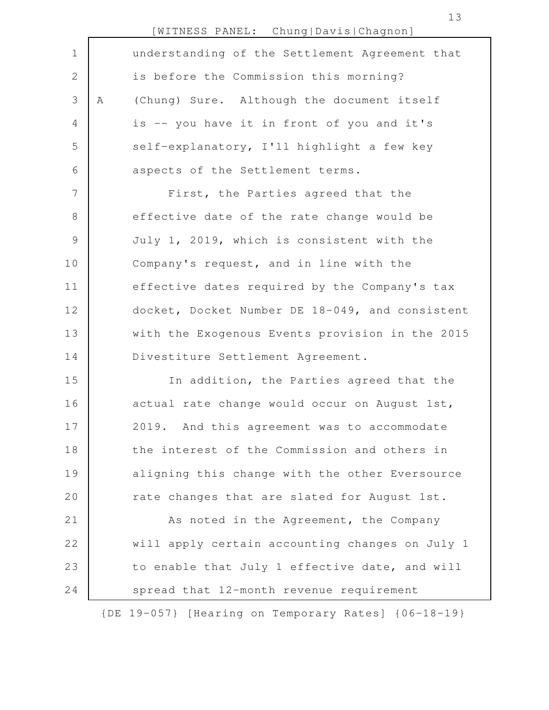|                |   | [WITNESS PANEL: Chung Davis Chagnon]            |
|----------------|---|-------------------------------------------------|
| $\mathbf 1$    |   | understanding of the Settlement Agreement that  |
| $\overline{2}$ |   | is before the Commission this morning?          |
| 3              | Α | (Chung) Sure. Although the document itself      |
| $\overline{4}$ |   | is -- you have it in front of you and it's      |
| 5              |   | self-explanatory, I'll highlight a few key      |
| 6              |   | aspects of the Settlement terms.                |
| 7              |   | First, the Parties agreed that the              |
| 8              |   | effective date of the rate change would be      |
| $\mathsf 9$    |   | July 1, 2019, which is consistent with the      |
| 10             |   | Company's request, and in line with the         |
| 11             |   | effective dates required by the Company's tax   |
| 12             |   | docket, Docket Number DE 18-049, and consistent |
| 13             |   | with the Exogenous Events provision in the 2015 |
| 14             |   | Divestiture Settlement Agreement.               |
| 15             |   | In addition, the Parties agreed that the        |
| 16             |   | actual rate change would occur on August 1st,   |
| 17             |   | 2019. And this agreement was to accommodate     |
| 18             |   | the interest of the Commission and others in    |
| 19             |   | aligning this change with the other Eversource  |
| 20             |   | rate changes that are slated for August 1st.    |
| 21             |   | As noted in the Agreement, the Company          |
| 22             |   | will apply certain accounting changes on July 1 |
| 23             |   | to enable that July 1 effective date, and will  |
| 24             |   | spread that 12-month revenue requirement        |
|                |   |                                                 |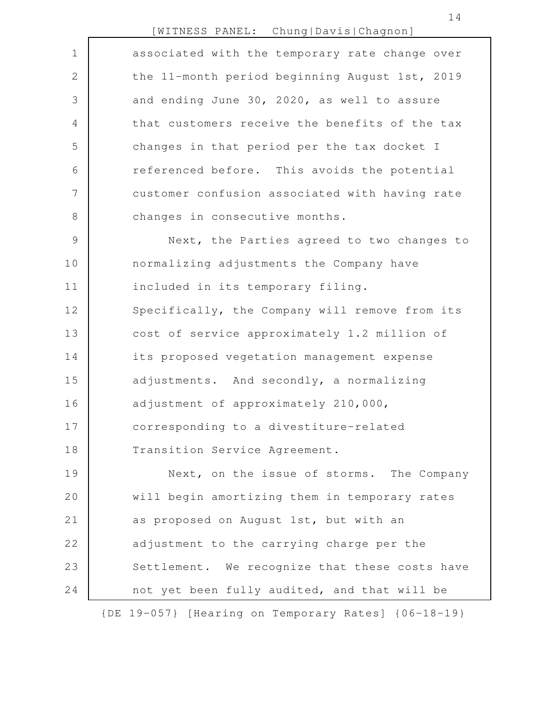## [WITNESS PANEL: Chung|Davis|Chagnon]

|               | — I L<br>.                                          |
|---------------|-----------------------------------------------------|
| $\mathbf 1$   | associated with the temporary rate change over      |
| 2             | the 11-month period beginning August 1st, 2019      |
| 3             | and ending June 30, 2020, as well to assure         |
| 4             | that customers receive the benefits of the tax      |
| 5             | changes in that period per the tax docket I         |
| 6             | referenced before. This avoids the potential        |
| 7             | customer confusion associated with having rate      |
| 8             | changes in consecutive months.                      |
| $\mathcal{G}$ | Next, the Parties agreed to two changes to          |
| 10            | normalizing adjustments the Company have            |
| 11            | included in its temporary filing.                   |
| 12            | Specifically, the Company will remove from its      |
| 13            | cost of service approximately 1.2 million of        |
| 14            | its proposed vegetation management expense          |
| 15            | adjustments. And secondly, a normalizing            |
| 16            | adjustment of approximately 210,000,                |
| 17            | corresponding to a divestiture-related              |
| 18            | Transition Service Agreement.                       |
| 19            | Next, on the issue of storms. The Company           |
| 20            | will begin amortizing them in temporary rates       |
| 21            | as proposed on August 1st, but with an              |
| 22            | adjustment to the carrying charge per the           |
| 23            | Settlement. We recognize that these costs have      |
| 24            | not yet been fully audited, and that will be        |
|               | {DE 19-057} [Hearing on Temporary Rates] {06-18-19} |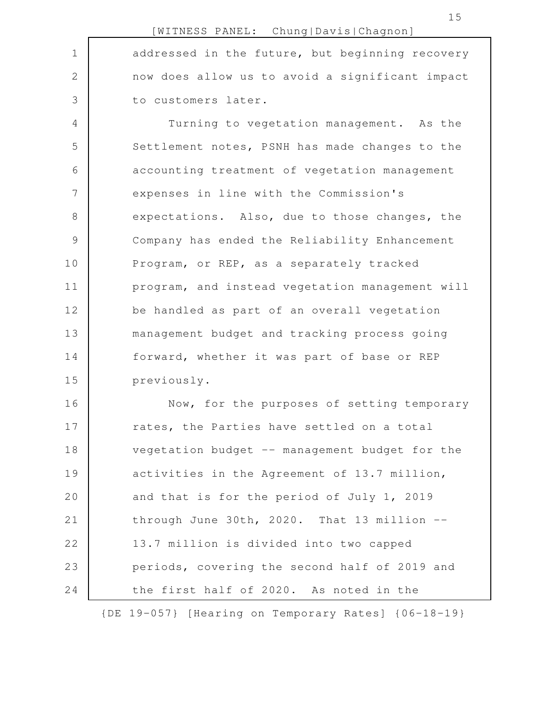addressed in the future, but beginning recovery now does allow us to avoid a significant impact to customers later. Turning to vegetation management. As the Settlement notes, PSNH has made changes to the accounting treatment of vegetation management expenses in line with the Commission's expectations. Also, due to those changes, the Company has ended the Reliability Enhancement Program, or REP, as a separately tracked program, and instead vegetation management will be handled as part of an overall vegetation management budget and tracking process going forward, whether it was part of base or REP previously. 1 2 3 4 5 6 7 8 9 10 11 12 13 14 15

Now, for the purposes of setting temporary rates, the Parties have settled on a total vegetation budget -- management budget for the activities in the Agreement of 13.7 million, and that is for the period of July 1, 2019 through June 30th, 2020. That 13 million -- 13.7 million is divided into two capped periods, covering the second half of 2019 and the first half of 2020. As noted in the 16 17 18 19 20 21 22 23 24

{DE 19-057} [Hearing on Temporary Rates] {06-18-19}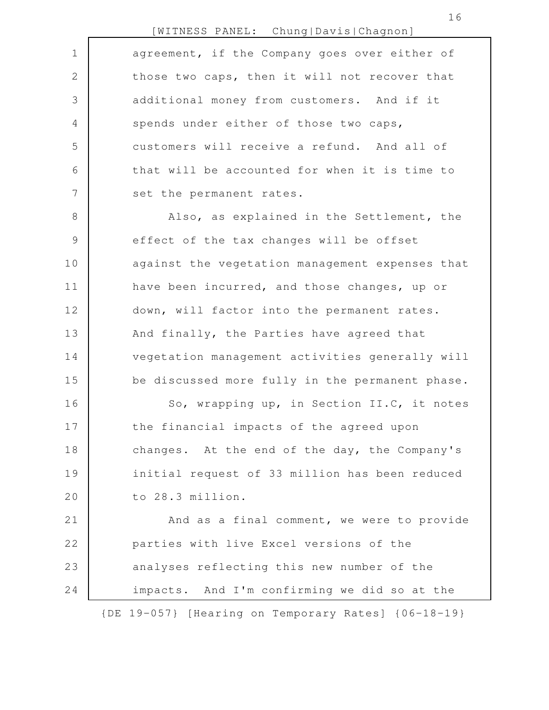|               | [WITNESS PANEL: Chung Davis Chagnon]            |
|---------------|-------------------------------------------------|
| $\mathbf 1$   | agreement, if the Company goes over either of   |
| $\mathbf{2}$  | those two caps, then it will not recover that   |
| 3             | additional money from customers. And if it      |
| 4             | spends under either of those two caps,          |
| 5             | customers will receive a refund. And all of     |
| 6             | that will be accounted for when it is time to   |
| 7             | set the permanent rates.                        |
| 8             | Also, as explained in the Settlement, the       |
| $\mathcal{G}$ | effect of the tax changes will be offset        |
| 10            | against the vegetation management expenses that |
| 11            | have been incurred, and those changes, up or    |
| 12            | down, will factor into the permanent rates.     |
| 13            | And finally, the Parties have agreed that       |
| 14            | vegetation management activities generally will |
| 15            | be discussed more fully in the permanent phase. |
| 16            | So, wrapping up, in Section II.C, it notes      |
| 17            | the financial impacts of the agreed upon        |
| 18            | changes. At the end of the day, the Company's   |
| 19            | initial request of 33 million has been reduced  |
| 20            | to 28.3 million.                                |
|               |                                                 |

And as a final comment, we were to provide parties with live Excel versions of the analyses reflecting this new number of the impacts. And I'm confirming we did so at the 21 22 23 24

{DE 19-057} [Hearing on Temporary Rates] {06-18-19}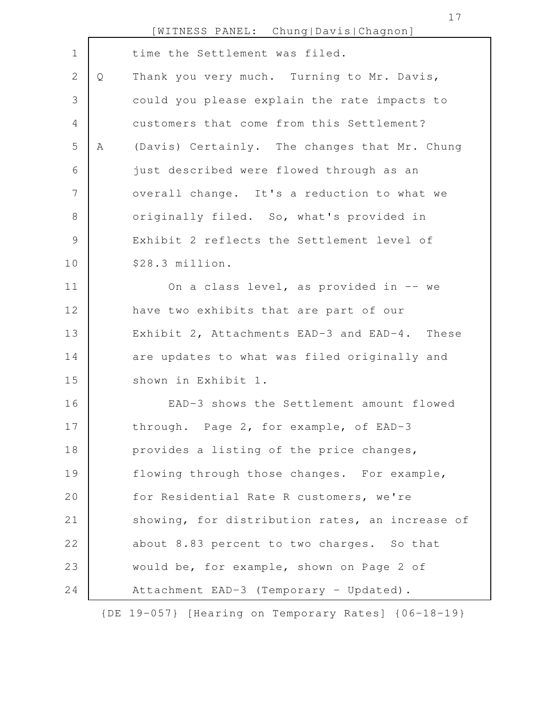|                 |   | [WITNESS PANEL: Chung Davis Chagnon]            |
|-----------------|---|-------------------------------------------------|
| $\mathbf 1$     |   | time the Settlement was filed.                  |
| 2               | Q | Thank you very much. Turning to Mr. Davis,      |
| 3               |   | could you please explain the rate impacts to    |
| 4               |   | customers that come from this Settlement?       |
| 5               | A | (Davis) Certainly. The changes that Mr. Chung   |
| 6               |   | just described were flowed through as an        |
| $7\phantom{.0}$ |   | overall change. It's a reduction to what we     |
| 8               |   | originally filed. So, what's provided in        |
| 9               |   | Exhibit 2 reflects the Settlement level of      |
| 10              |   | \$28.3 million.                                 |
| 11              |   | On a class level, as provided in -- we          |
| 12              |   | have two exhibits that are part of our          |
| 13              |   | Exhibit 2, Attachments EAD-3 and EAD-4. These   |
| 14              |   | are updates to what was filed originally and    |
| 15              |   | shown in Exhibit 1.                             |
| 16              |   | EAD-3 shows the Settlement amount flowed        |
| 17              |   | through. Page 2, for example, of EAD-3          |
| 18              |   | provides a listing of the price changes,        |
| 19              |   | flowing through those changes. For example,     |
| 20              |   | for Residential Rate R customers, we're         |
| 21              |   | showing, for distribution rates, an increase of |
| 22              |   | about 8.83 percent to two charges. So that      |
| 23              |   | would be, for example, shown on Page 2 of       |
| 24              |   | Attachment EAD-3 (Temporary - Updated).         |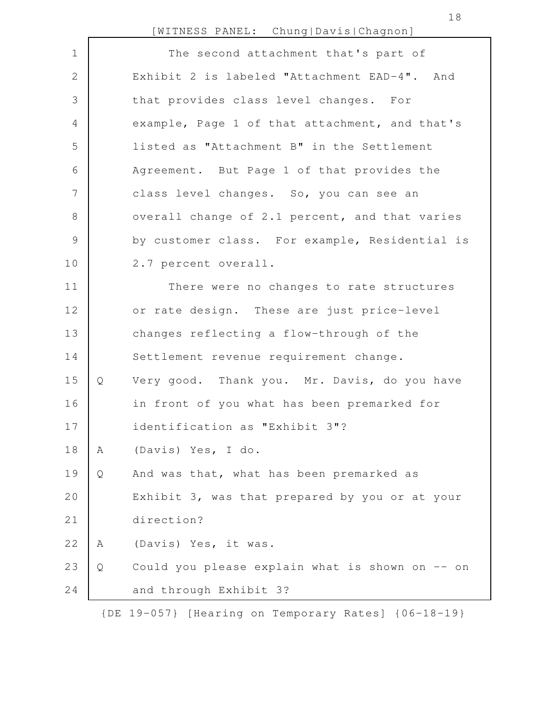[WITNESS PANEL: Chung|Davis|Chagnon]

| $\mathbf 1$    |   | The second attachment that's part of            |
|----------------|---|-------------------------------------------------|
| $\mathbf{2}$   |   | Exhibit 2 is labeled "Attachment EAD-4". And    |
| 3              |   | that provides class level changes. For          |
| $\overline{4}$ |   | example, Page 1 of that attachment, and that's  |
| 5              |   | listed as "Attachment B" in the Settlement      |
| 6              |   | Agreement. But Page 1 of that provides the      |
| 7              |   | class level changes. So, you can see an         |
| $8\,$          |   | overall change of 2.1 percent, and that varies  |
| $\mathsf 9$    |   | by customer class. For example, Residential is  |
| 10             |   | 2.7 percent overall.                            |
| 11             |   | There were no changes to rate structures        |
| 12             |   | or rate design. These are just price-level      |
| 13             |   | changes reflecting a flow-through of the        |
| 14             |   | Settlement revenue requirement change.          |
| 15             | Q | Very good. Thank you. Mr. Davis, do you have    |
| 16             |   | in front of you what has been premarked for     |
| 17             |   | identification as "Exhibit 3"?                  |
| 18             | Α | (Davis) Yes, I do.                              |
| 19             | Q | And was that, what has been premarked as        |
| 20             |   | Exhibit 3, was that prepared by you or at your  |
| 21             |   | direction?                                      |
| 22             | Α | (Davis) Yes, it was.                            |
| 23             | Q | Could you please explain what is shown on -- on |
| 24             |   | and through Exhibit 3?                          |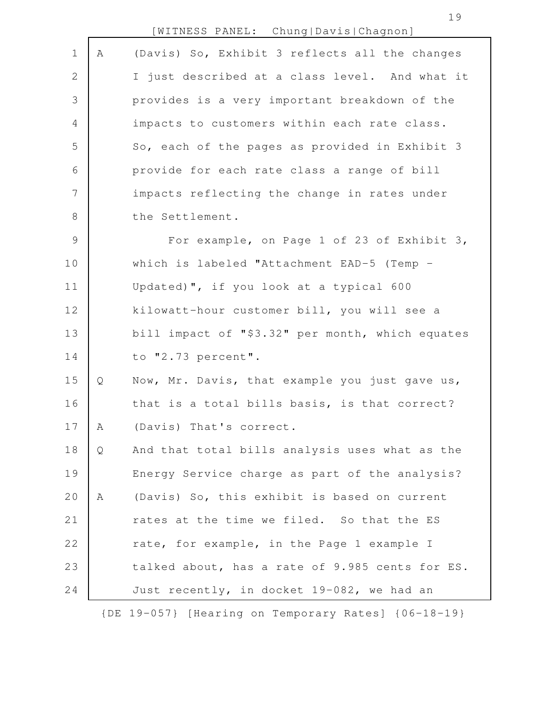| $\mathbf 1$    | Α | (Davis) So, Exhibit 3 reflects all the changes   |
|----------------|---|--------------------------------------------------|
| 2              |   | I just described at a class level. And what it   |
| $\mathfrak{Z}$ |   | provides is a very important breakdown of the    |
| $\overline{4}$ |   | impacts to customers within each rate class.     |
| 5              |   | So, each of the pages as provided in Exhibit 3   |
| 6              |   | provide for each rate class a range of bill      |
| 7              |   | impacts reflecting the change in rates under     |
| 8              |   | the Settlement.                                  |
| $\mathcal{G}$  |   | For example, on Page 1 of 23 of Exhibit 3,       |
| 10             |   | which is labeled "Attachment EAD-5 (Temp -       |
| 11             |   | Updated)", if you look at a typical 600          |
| 12             |   | kilowatt-hour customer bill, you will see a      |
| 13             |   | bill impact of "\$3.32" per month, which equates |
| 14             |   | to "2.73 percent".                               |
| 15             | Q | Now, Mr. Davis, that example you just gave us,   |
| 16             |   | that is a total bills basis, is that correct?    |
| 17             | Α | (Davis) That's correct.                          |
| 18             | Q | And that total bills analysis uses what as the   |
| 19             |   | Energy Service charge as part of the analysis?   |
| 20             | Α | (Davis) So, this exhibit is based on current     |
| 21             |   | rates at the time we filed. So that the ES       |
| 22             |   | rate, for example, in the Page 1 example I       |
| 23             |   | talked about, has a rate of 9.985 cents for ES.  |
| 24             |   | Just recently, in docket 19-082, we had an       |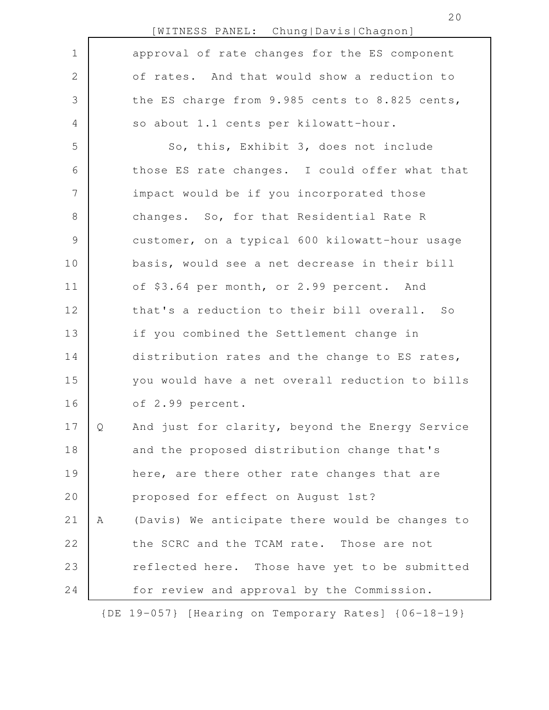|                |   | [WITNESS PANEL: Chung Davis Chagnon]            |
|----------------|---|-------------------------------------------------|
| $\mathbf 1$    |   | approval of rate changes for the ES component   |
| $\overline{2}$ |   | of rates. And that would show a reduction to    |
| 3              |   | the ES charge from 9.985 cents to 8.825 cents,  |
| 4              |   | so about 1.1 cents per kilowatt-hour.           |
| 5              |   | So, this, Exhibit 3, does not include           |
| 6              |   | those ES rate changes. I could offer what that  |
| $\overline{7}$ |   | impact would be if you incorporated those       |
| 8              |   | changes. So, for that Residential Rate R        |
| $\mathcal{G}$  |   | customer, on a typical 600 kilowatt-hour usage  |
| 10             |   | basis, would see a net decrease in their bill   |
| 11             |   | of \$3.64 per month, or 2.99 percent. And       |
| 12             |   | that's a reduction to their bill overall. So    |
| 13             |   | if you combined the Settlement change in        |
| 14             |   | distribution rates and the change to ES rates,  |
| 15             |   | you would have a net overall reduction to bills |
| 16             |   | of 2.99 percent.                                |
| 17             | Q | And just for clarity, beyond the Energy Service |
| 18             |   | and the proposed distribution change that's     |
| 19             |   | here, are there other rate changes that are     |
| 20             |   | proposed for effect on August 1st?              |
| 21             | Α | (Davis) We anticipate there would be changes to |
| 22             |   | the SCRC and the TCAM rate. Those are not       |
| 23             |   | reflected here. Those have yet to be submitted  |
| 24             |   | for review and approval by the Commission.      |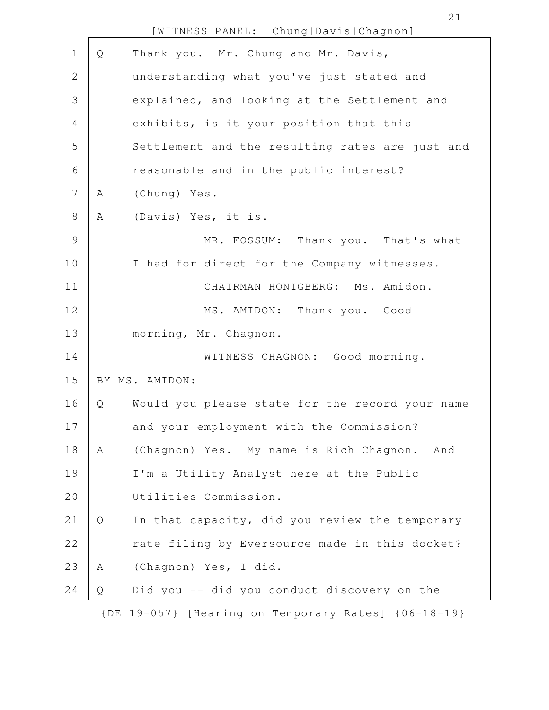|                |   | [WITNESS PANEL: Chung Davis Chagnon]                |
|----------------|---|-----------------------------------------------------|
| $\mathbf 1$    | Q | Thank you. Mr. Chung and Mr. Davis,                 |
| 2              |   | understanding what you've just stated and           |
| 3              |   | explained, and looking at the Settlement and        |
| 4              |   | exhibits, is it your position that this             |
| 5              |   | Settlement and the resulting rates are just and     |
| 6              |   | reasonable and in the public interest?              |
| $7\phantom{.}$ | Α | (Chung) Yes.                                        |
| $\,8\,$        | Α | (Davis) Yes, it is.                                 |
| $\mathsf 9$    |   | MR. FOSSUM: Thank you. That's what                  |
| 10             |   | I had for direct for the Company witnesses.         |
| 11             |   | CHAIRMAN HONIGBERG: Ms. Amidon.                     |
| 12             |   | MS. AMIDON: Thank you. Good                         |
| 13             |   | morning, Mr. Chagnon.                               |
| 14             |   | WITNESS CHAGNON: Good morning.                      |
| 15             |   | BY MS. AMIDON:                                      |
| 16             | Q | Would you please state for the record your name     |
| 17             |   | and your employment with the Commission?            |
| 18             | Α | (Chagnon) Yes. My name is Rich Chagnon.<br>And      |
| 19             |   | I'm a Utility Analyst here at the Public            |
| 20             |   | Utilities Commission.                               |
| 21             | Q | In that capacity, did you review the temporary      |
| 22             |   | rate filing by Eversource made in this docket?      |
| 23             | Α | (Chagnon) Yes, I did.                               |
| 24             | Q | Did you -- did you conduct discovery on the         |
|                |   | {DE 19-057} [Hearing on Temporary Rates] {06-18-19} |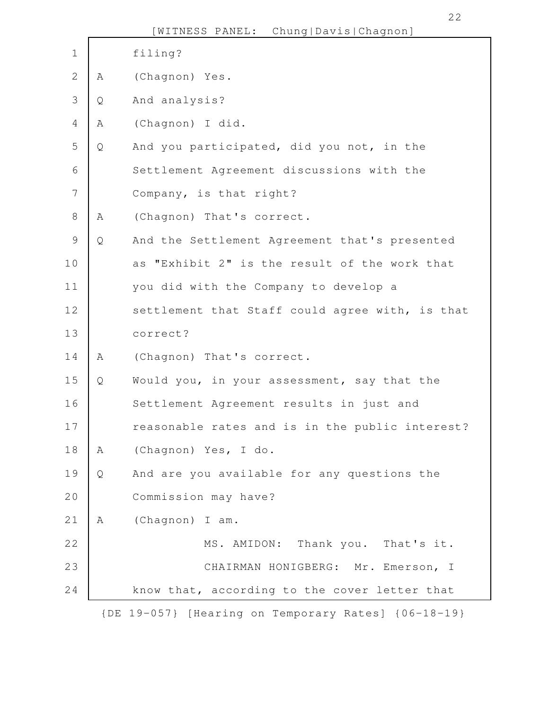|                |              | [WITNESS PANEL: Chung Davis Chagnon]                |
|----------------|--------------|-----------------------------------------------------|
| $\mathbf 1$    |              | filing?                                             |
| $\mathbf{2}$   | A            | (Chagnon) Yes.                                      |
| 3              | Q            | And analysis?                                       |
| 4              | Α            | (Chagnon) I did.                                    |
| 5              | $\mathsf{Q}$ | And you participated, did you not, in the           |
| 6              |              | Settlement Agreement discussions with the           |
| $\overline{7}$ |              | Company, is that right?                             |
| $8\,$          | Α            | (Chagnon) That's correct.                           |
| $\mathcal{G}$  | Q            | And the Settlement Agreement that's presented       |
| 10             |              | "Exhibit 2" is the result of the work that<br>as    |
| 11             |              | you did with the Company to develop a               |
| 12             |              | settlement that Staff could agree with, is that     |
| 13             |              | correct?                                            |
| 14             | Α            | (Chagnon) That's correct.                           |
| 15             | Q            | Would you, in your assessment, say that the         |
| 16             |              | Settlement Agreement results in just and            |
| 17             |              | reasonable rates and is in the public interest?     |
| 18             | Α            | (Chagnon) Yes, I do.                                |
| 19             | Q            | And are you available for any questions the         |
| 20             |              | Commission may have?                                |
| 21             | Α            | (Chagnon) I am.                                     |
| 22             |              | MS. AMIDON: Thank you. That's it.                   |
| 23             |              | CHAIRMAN HONIGBERG: Mr. Emerson, I                  |
| 24             |              | know that, according to the cover letter that       |
|                |              | {DE 19-057} [Hearing on Temporary Rates] {06-18-19} |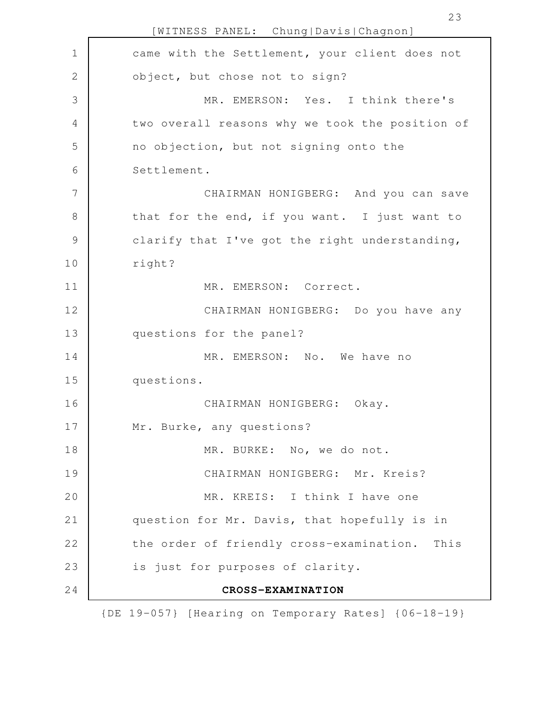[WITNESS PANEL: Chung|Davis|Chagnon] came with the Settlement, your client does not object, but chose not to sign? MR. EMERSON: Yes. I think there's two overall reasons why we took the position of no objection, but not signing onto the Settlement. CHAIRMAN HONIGBERG: And you can save that for the end, if you want. I just want to clarify that I've got the right understanding, right? MR. EMERSON: Correct. CHAIRMAN HONIGBERG: Do you have any questions for the panel? MR. EMERSON: No. We have no questions. CHAIRMAN HONIGBERG: Okay. Mr. Burke, any questions? MR. BURKE: No, we do not. CHAIRMAN HONIGBERG: Mr. Kreis? MR. KREIS: I think I have one question for Mr. Davis, that hopefully is in the order of friendly cross-examination. This is just for purposes of clarity. **CROSS-EXAMINATION** 1 2 3 4 5 6 7 8 9 10 11 12 13 14 15 16 17 18 19 20 21 22 23 24

{DE 19-057} [Hearing on Temporary Rates] {06-18-19}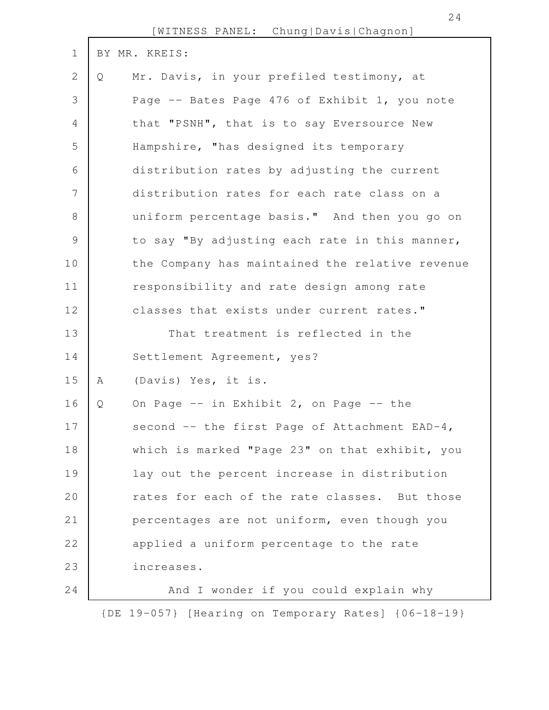|                |   | IMTIMMOO TIIMMIT.<br>$\circ$ . The state of $\circ$ is the state of $\circ$ is the state of $\circ$ |
|----------------|---|-----------------------------------------------------------------------------------------------------|
| $\mathbf 1$    |   | BY MR. KREIS:                                                                                       |
| 2              | Q | Mr. Davis, in your prefiled testimony, at                                                           |
| 3              |   | Page -- Bates Page 476 of Exhibit 1, you note                                                       |
| 4              |   | that "PSNH", that is to say Eversource New                                                          |
| 5              |   | Hampshire, "has designed its temporary                                                              |
| 6              |   | distribution rates by adjusting the current                                                         |
| $\overline{7}$ |   | distribution rates for each rate class on a                                                         |
| 8              |   | uniform percentage basis." And then you go on                                                       |
| $\mathcal{G}$  |   | to say "By adjusting each rate in this manner,                                                      |
| 10             |   | the Company has maintained the relative revenue                                                     |
| 11             |   | responsibility and rate design among rate                                                           |
| 12             |   | classes that exists under current rates."                                                           |
| 13             |   | That treatment is reflected in the                                                                  |
| 14             |   | Settlement Agreement, yes?                                                                          |
| 15             | Α | (Davis) Yes, it is.                                                                                 |
| 16             | Q | On Page -- in Exhibit 2, on Page -- the                                                             |
| 17             |   | second -- the first Page of Attachment EAD-4,                                                       |
| 18             |   | which is marked "Page 23" on that exhibit, you                                                      |
| 19             |   | lay out the percent increase in distribution                                                        |
| 20             |   | rates for each of the rate classes. But those                                                       |
| 21             |   | percentages are not uniform, even though you                                                        |
| 22             |   | applied a uniform percentage to the rate                                                            |
| 23             |   | increases.                                                                                          |
| 24             |   | And I wonder if you could explain why                                                               |
|                |   | {DE 19-057} [Hearing on Temporary Rates] {06-18-19}                                                 |

[WITNESS PANEL: Chung|Davis|Chagnon]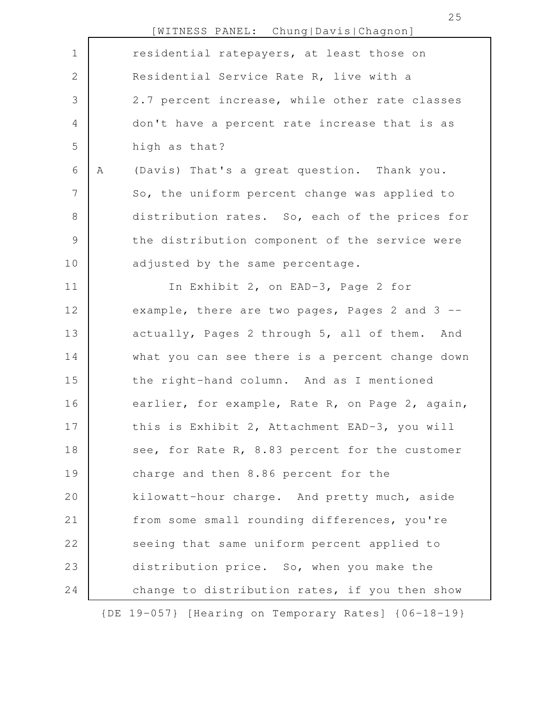|                |   | [WITNESS PANEL: Chung Davis Chagnon]                |
|----------------|---|-----------------------------------------------------|
| $\mathbf 1$    |   | residential ratepayers, at least those on           |
| $\mathbf{2}$   |   | Residential Service Rate R, live with a             |
| 3              |   | 2.7 percent increase, while other rate classes      |
| 4              |   | don't have a percent rate increase that is as       |
| 5              |   | high as that?                                       |
| 6              | Α | (Davis) That's a great question. Thank you.         |
| $\overline{7}$ |   | So, the uniform percent change was applied to       |
| $8\,$          |   | distribution rates. So, each of the prices for      |
| $\mathcal{G}$  |   | the distribution component of the service were      |
| 10             |   | adjusted by the same percentage.                    |
| 11             |   | In Exhibit 2, on EAD-3, Page 2 for                  |
| 12             |   | example, there are two pages, Pages 2 and 3 --      |
| 13             |   | actually, Pages 2 through 5, all of them. And       |
| 14             |   | what you can see there is a percent change down     |
| 15             |   | the right-hand column. And as I mentioned           |
| 16             |   | earlier, for example, Rate R, on Page 2, again,     |
| 17             |   | this is Exhibit 2, Attachment EAD-3, you will       |
| 18             |   | see, for Rate R, 8.83 percent for the customer      |
| 19             |   | charge and then 8.86 percent for the                |
| 20             |   | kilowatt-hour charge. And pretty much, aside        |
| 21             |   | from some small rounding differences, you're        |
| 22             |   | seeing that same uniform percent applied to         |
| 23             |   | distribution price. So, when you make the           |
| 24             |   | change to distribution rates, if you then show      |
|                |   | {DE 19-057} [Hearing on Temporary Rates] {06-18-19} |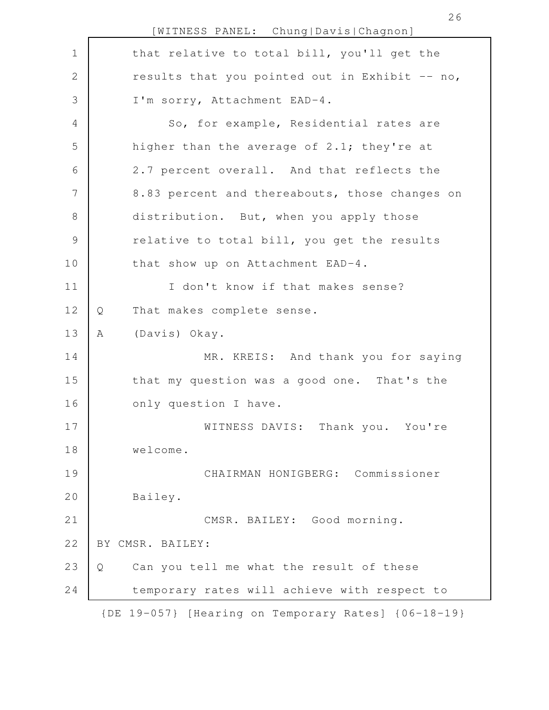[WITNESS PANEL: Chung|Davis|Chagnon] that relative to total bill, you'll get the results that you pointed out in Exhibit  $-$  no, I'm sorry, Attachment EAD-4. So, for example, Residential rates are higher than the average of 2.1; they're at 2.7 percent overall. And that reflects the 8.83 percent and thereabouts, those changes on distribution. But, when you apply those relative to total bill, you get the results that show up on Attachment EAD-4. I don't know if that makes sense? Q That makes complete sense. A (Davis) Okay. MR. KREIS: And thank you for saying that my question was a good one. That's the only question I have. WITNESS DAVIS: Thank you. You're welcome. CHAIRMAN HONIGBERG: Commissioner Bailey. CMSR. BAILEY: Good morning. BY CMSR. BAILEY: Q Can you tell me what the result of these temporary rates will achieve with respect to {DE 19-057} [Hearing on Temporary Rates] {06-18-19} 1 2 3 4 5 6 7 8 9 10 11 12 13 14 15 16 17 18 19 20 21 22 23 24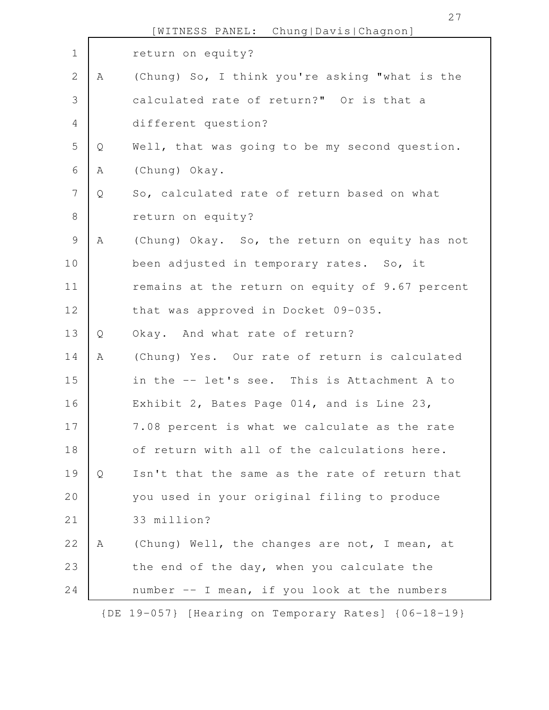|                |   | [WITNESS PANEL: Chung Davis Chagnon]                |
|----------------|---|-----------------------------------------------------|
| $\mathbf 1$    |   | return on equity?                                   |
| $\sqrt{2}$     | A | (Chung) So, I think you're asking "what is the      |
| 3              |   | calculated rate of return?" Or is that a            |
| $\overline{4}$ |   | different question?                                 |
| 5              | Q | Well, that was going to be my second question.      |
| 6              | Α | (Chung) Okay.                                       |
| $\overline{7}$ | Q | So, calculated rate of return based on what         |
| $\,8\,$        |   | return on equity?                                   |
| $\mathcal{G}$  | Α | (Chung) Okay. So, the return on equity has not      |
| 10             |   | been adjusted in temporary rates. So, it            |
| 11             |   | remains at the return on equity of 9.67 percent     |
| 12             |   | that was approved in Docket 09-035.                 |
| 13             | Q | Okay. And what rate of return?                      |
| 14             | A | (Chung) Yes. Our rate of return is calculated       |
| 15             |   | in the -- let's see. This is Attachment A to        |
| 16             |   | Exhibit 2, Bates Page 014, and is Line 23,          |
| 17             |   | 7.08 percent is what we calculate as the rate       |
| 18             |   | of return with all of the calculations here.        |
| 19             | Q | Isn't that the same as the rate of return that      |
| 20             |   | you used in your original filing to produce         |
| 21             |   | 33 million?                                         |
| 22             | A | (Chung) Well, the changes are not, I mean, at       |
| 23             |   | the end of the day, when you calculate the          |
| 24             |   | number -- I mean, if you look at the numbers        |
|                |   | {DE 19-057} [Hearing on Temporary Rates] {06-18-19} |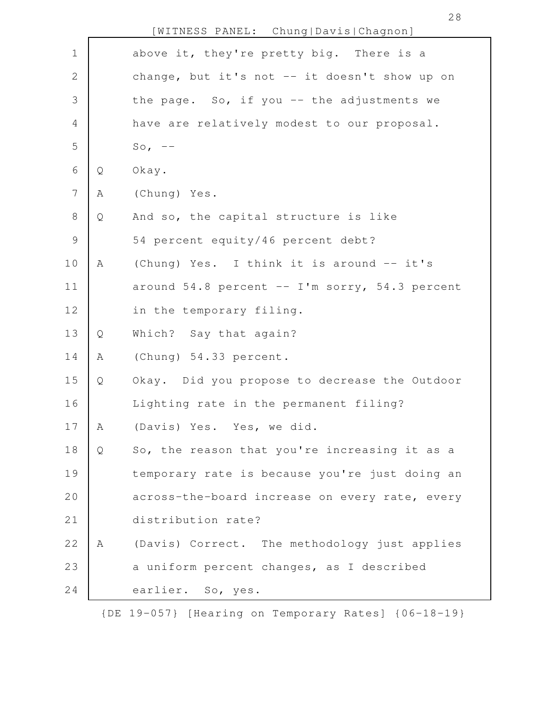|                |   | [WITNESS PANEL: Chung Davis Chagnon]                 |
|----------------|---|------------------------------------------------------|
| $\mathbf 1$    |   | above it, they're pretty big. There is a             |
| $\mathbf 2$    |   | change, but it's not -- it doesn't show up on        |
| 3              |   | the page. So, if you -- the adjustments we           |
| $\overline{4}$ |   | have are relatively modest to our proposal.          |
| 5              |   | So, $--$                                             |
| 6              | Q | Okay.                                                |
| $\overline{7}$ | Α | (Chung) Yes.                                         |
| $\,8\,$        | Q | And so, the capital structure is like                |
| $\mathsf 9$    |   | 54 percent equity/46 percent debt?                   |
| 10             | Α | (Chung) Yes. I think it is around -- it's            |
| 11             |   | around $54.8$ percent $--$ I'm sorry, $54.3$ percent |
| 12             |   | in the temporary filing.                             |
| 13             | Q | Which? Say that again?                               |
| 14             | Α | (Chung) 54.33 percent.                               |
| 15             | Q | Okay. Did you propose to decrease the Outdoor        |
| 16             |   | Lighting rate in the permanent filing?               |
| 17             | Α | (Davis) Yes. Yes, we did.                            |
| 18             | Q | So, the reason that you're increasing it as a        |
| 19             |   | temporary rate is because you're just doing an       |
| 20             |   | across-the-board increase on every rate, every       |
| 21             |   | distribution rate?                                   |
| 22             | A | (Davis) Correct. The methodology just applies        |
| 23             |   | a uniform percent changes, as I described            |
| 24             |   | earlier. So, yes.                                    |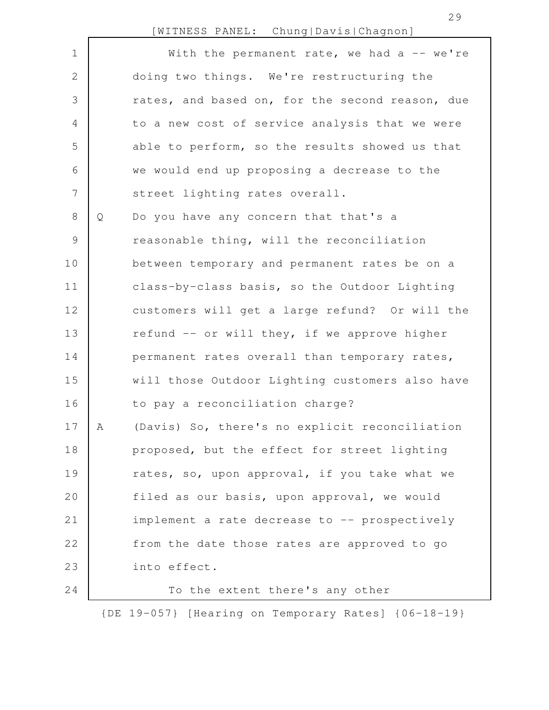[WITNESS PANEL: Chung|Davis|Chagnon]

| $\mathbf 1$    |   | With the permanent rate, we had a -- we're      |
|----------------|---|-------------------------------------------------|
| $\mathbf{2}$   |   | doing two things. We're restructuring the       |
| 3              |   | rates, and based on, for the second reason, due |
| $\overline{4}$ |   | to a new cost of service analysis that we were  |
| 5              |   | able to perform, so the results showed us that  |
| 6              |   | we would end up proposing a decrease to the     |
| $\overline{7}$ |   | street lighting rates overall.                  |
| 8              | Q | Do you have any concern that that's a           |
| $\mathcal{G}$  |   | reasonable thing, will the reconciliation       |
| 10             |   | between temporary and permanent rates be on a   |
| 11             |   | class-by-class basis, so the Outdoor Lighting   |
| 12             |   | customers will get a large refund? Or will the  |
| 13             |   | refund -- or will they, if we approve higher    |
| 14             |   | permanent rates overall than temporary rates,   |
| 15             |   | will those Outdoor Lighting customers also have |
| 16             |   | to pay a reconciliation charge?                 |
| 17             | Α | (Davis) So, there's no explicit reconciliation  |
| 18             |   | proposed, but the effect for street lighting    |
| 19             |   | rates, so, upon approval, if you take what we   |
| 20             |   | filed as our basis, upon approval, we would     |
| 21             |   | implement a rate decrease to -- prospectively   |
| 22             |   | from the date those rates are approved to go    |
| 23             |   | into effect.                                    |
| 24             |   | To the extent there's any other                 |

{DE 19-057} [Hearing on Temporary Rates] {06-18-19}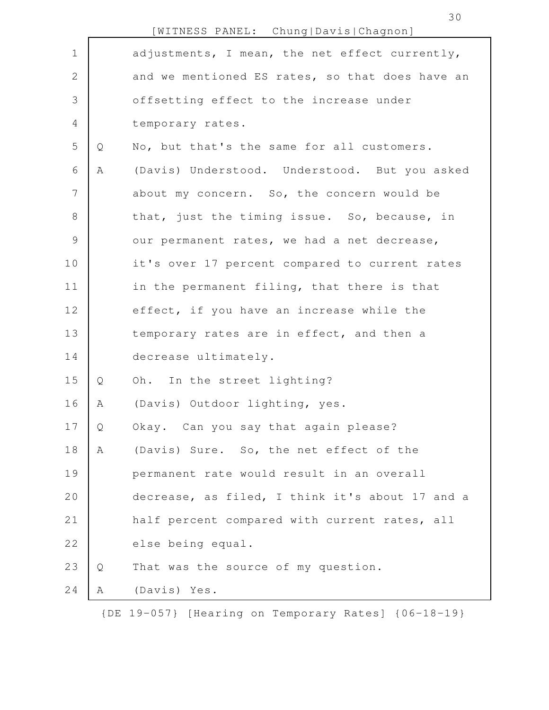|                |   | [WITNESS PANEL: Chung Davis Chagnon]            |
|----------------|---|-------------------------------------------------|
| $\mathbf 1$    |   | adjustments, I mean, the net effect currently,  |
| $\mathbf{2}$   |   | and we mentioned ES rates, so that does have an |
| 3              |   | offsetting effect to the increase under         |
| 4              |   | temporary rates.                                |
| 5              | Q | No, but that's the same for all customers.      |
| 6              | Α | (Davis) Understood. Understood. But you asked   |
| $\overline{7}$ |   | about my concern. So, the concern would be      |
| 8              |   | that, just the timing issue. So, because, in    |
| $\mathcal{G}$  |   | our permanent rates, we had a net decrease,     |
| 10             |   | it's over 17 percent compared to current rates  |
| 11             |   | in the permanent filing, that there is that     |
| 12             |   | effect, if you have an increase while the       |
| 13             |   | temporary rates are in effect, and then a       |
| 14             |   | decrease ultimately.                            |
| 15             | Q | Oh. In the street lighting?                     |
| 16             | Α | (Davis) Outdoor lighting, yes.                  |
| 17             | Q | Okay. Can you say that again please?            |
| 18             | Α | (Davis) Sure. So, the net effect of the         |
| 19             |   | permanent rate would result in an overall       |
| 20             |   | decrease, as filed, I think it's about 17 and a |
| 21             |   | half percent compared with current rates, all   |
| 22             |   | else being equal.                               |
| 23             | Q | That was the source of my question.             |
| 24             | Α | (Davis) Yes.                                    |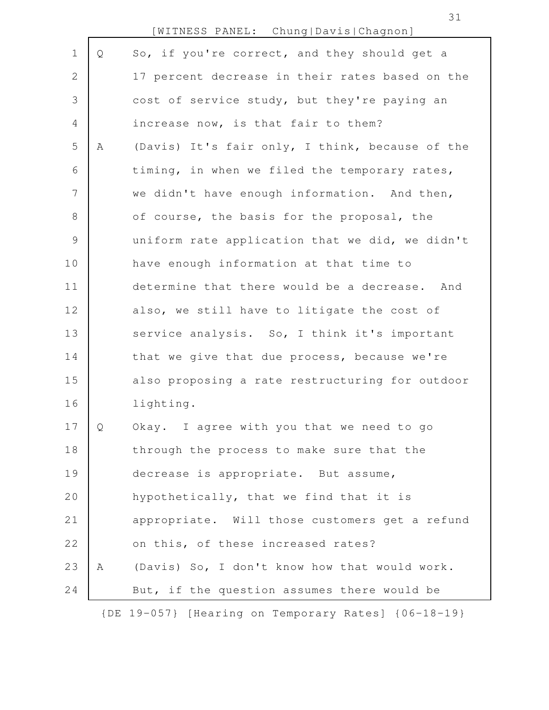|                |   | [WITNESS PANEL: Chung Davis Chagnon]                |
|----------------|---|-----------------------------------------------------|
| $\mathbf 1$    | Q | So, if you're correct, and they should get a        |
| 2              |   | 17 percent decrease in their rates based on the     |
| 3              |   | cost of service study, but they're paying an        |
| $\overline{4}$ |   | increase now, is that fair to them?                 |
| 5              | Α | (Davis) It's fair only, I think, because of the     |
| 6              |   | timing, in when we filed the temporary rates,       |
| $7\phantom{.}$ |   | we didn't have enough information. And then,        |
| $8\,$          |   | of course, the basis for the proposal, the          |
| $\mathsf 9$    |   | uniform rate application that we did, we didn't     |
| 10             |   | have enough information at that time to             |
| 11             |   | determine that there would be a decrease. And       |
| 12             |   | also, we still have to litigate the cost of         |
| 13             |   | service analysis. So, I think it's important        |
| 14             |   | that we give that due process, because we're        |
| 15             |   | also proposing a rate restructuring for outdoor     |
| 16             |   | lighting.                                           |
| 17             | Q | Okay. I agree with you that we need to go           |
| 18             |   | through the process to make sure that the           |
| 19             |   | decrease is appropriate. But assume,                |
| 20             |   | hypothetically, that we find that it is             |
| 21             |   | appropriate. Will those customers get a refund      |
| 22             |   | on this, of these increased rates?                  |
| 23             | A | (Davis) So, I don't know how that would work.       |
| 24             |   | But, if the question assumes there would be         |
|                |   | {DE 19-057} [Hearing on Temporary Rates] {06-18-19} |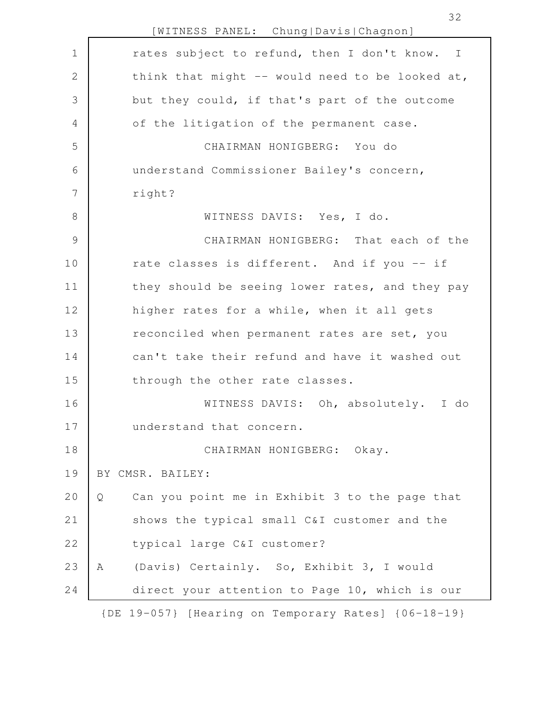|                 | [WITNESS PANEL: Chung Davis Chagnon]                |
|-----------------|-----------------------------------------------------|
| $\mathbf 1$     | rates subject to refund, then I don't know. I       |
| 2               | think that might -- would need to be looked at,     |
| 3               | but they could, if that's part of the outcome       |
| 4               | of the litigation of the permanent case.            |
| 5               | CHAIRMAN HONIGBERG: You do                          |
| 6               | understand Commissioner Bailey's concern,           |
| $7\phantom{.0}$ | right?                                              |
| $\,8\,$         | WITNESS DAVIS: Yes, I do.                           |
| $\mathcal{G}$   | CHAIRMAN HONIGBERG: That each of the                |
| 10              | rate classes is different. And if you -- if         |
| 11              | they should be seeing lower rates, and they pay     |
| 12              | higher rates for a while, when it all gets          |
| 13              | reconciled when permanent rates are set, you        |
| 14              | can't take their refund and have it washed out      |
| 15              | through the other rate classes.                     |
| 16              | WITNESS DAVIS: Oh, absolutely. I do                 |
| 17              | understand that concern.                            |
| 18              | CHAIRMAN HONIGBERG: Okay.                           |
| 19              | BY CMSR. BAILEY:                                    |
| 20              | Can you point me in Exhibit 3 to the page that<br>Q |
| 21              | shows the typical small C&I customer and the        |
| 22              | typical large C&I customer?                         |
| 23              | (Davis) Certainly. So, Exhibit 3, I would<br>A      |
| 24              | direct your attention to Page 10, which is our      |
|                 | {DE 19-057} [Hearing on Temporary Rates] {06-18-19} |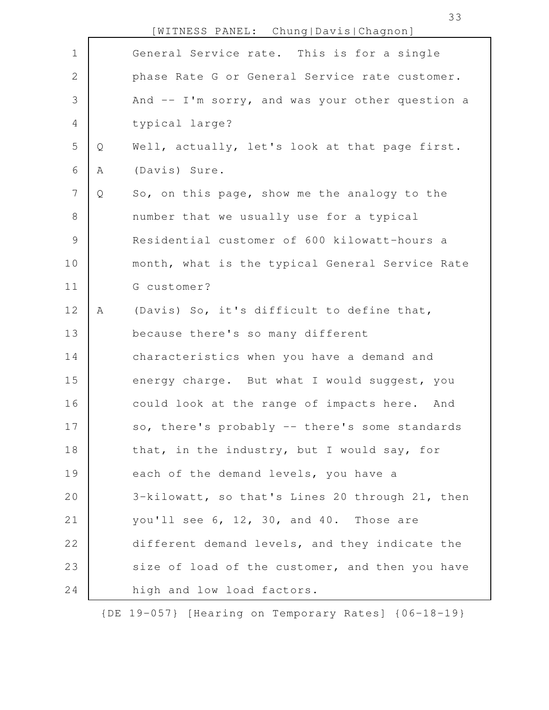|                |   | [WITNESS PANEL: Chung Davis Chagnon]              |
|----------------|---|---------------------------------------------------|
| $\mathbf 1$    |   | General Service rate. This is for a single        |
| $\mathbf{2}$   |   | phase Rate G or General Service rate customer.    |
| $\mathfrak{Z}$ |   | And $--$ I'm sorry, and was your other question a |
| 4              |   | typical large?                                    |
| 5              | Q | Well, actually, let's look at that page first.    |
| 6              | Α | (Davis) Sure.                                     |
| 7              | Q | So, on this page, show me the analogy to the      |
| $8\,$          |   | number that we usually use for a typical          |
| $\mathsf 9$    |   | Residential customer of 600 kilowatt-hours a      |
| 10             |   | month, what is the typical General Service Rate   |
| 11             |   | G customer?                                       |
| 12             | Α | (Davis) So, it's difficult to define that,        |
| 13             |   | because there's so many different                 |
| 14             |   | characteristics when you have a demand and        |
| 15             |   | energy charge. But what I would suggest, you      |
| 16             |   | could look at the range of impacts here. And      |
| 17             |   | so, there's probably -- there's some standards    |
| 18             |   | that, in the industry, but I would say, for       |
| 19             |   | each of the demand levels, you have a             |
| 20             |   | 3-kilowatt, so that's Lines 20 through 21, then   |
| 21             |   | you'll see 6, 12, 30, and 40. Those are           |
| 22             |   | different demand levels, and they indicate the    |
| 23             |   | size of load of the customer, and then you have   |
| 24             |   | high and low load factors.                        |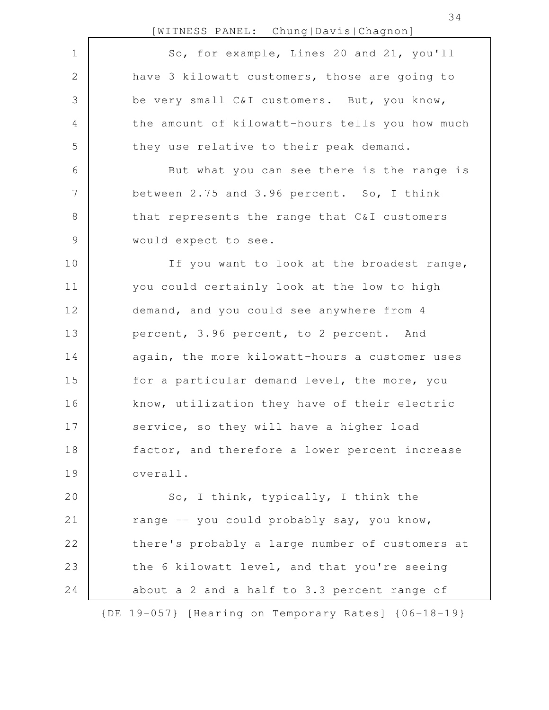[WITNESS PANEL: Chung|Davis|Chagnon] So, for example, Lines 20 and 21, you'll have 3 kilowatt customers, those are going to be very small C&I customers. But, you know, the amount of kilowatt-hours tells you how much they use relative to their peak demand. But what you can see there is the range is between 2.75 and 3.96 percent. So, I think that represents the range that C&I customers would expect to see. If you want to look at the broadest range, you could certainly look at the low to high demand, and you could see anywhere from 4 percent, 3.96 percent, to 2 percent. And again, the more kilowatt-hours a customer uses for a particular demand level, the more, you know, utilization they have of their electric service, so they will have a higher load factor, and therefore a lower percent increase overall. So, I think, typically, I think the range -- you could probably say, you know, there's probably a large number of customers at the 6 kilowatt level, and that you're seeing about a 2 and a half to 3.3 percent range of 1 2 3 4 5 6 7 8 9 10 11 12 13 14 15 16 17 18 19 20 21 22 23 24

{DE 19-057} [Hearing on Temporary Rates] {06-18-19}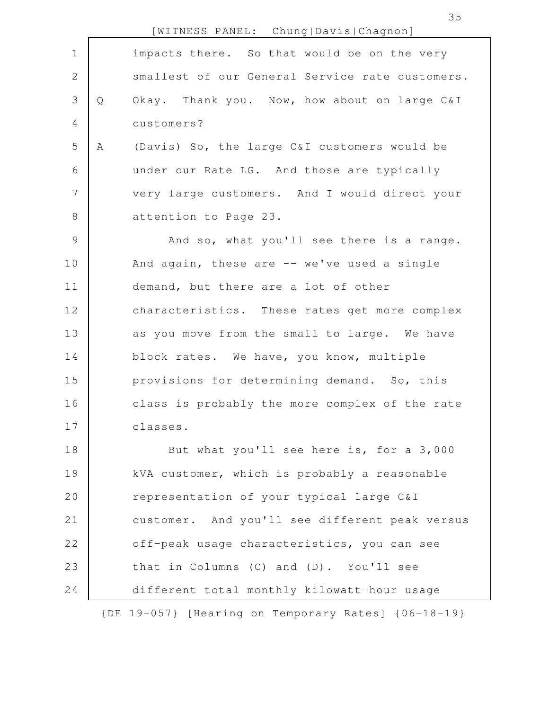|                |   | [WITNESS PANEL: Chung Davis Chagnon]            |
|----------------|---|-------------------------------------------------|
| $\mathbf 1$    |   | impacts there. So that would be on the very     |
| 2              |   | smallest of our General Service rate customers. |
| 3              | Q | Okay. Thank you. Now, how about on large C&I    |
| 4              |   | customers?                                      |
| 5              | Α | (Davis) So, the large C&I customers would be    |
| 6              |   | under our Rate LG. And those are typically      |
| $\overline{7}$ |   | very large customers. And I would direct your   |
| $8\,$          |   | attention to Page 23.                           |
| $\mathcal{G}$  |   | And so, what you'll see there is a range.       |
| 10             |   | And again, these are -- we've used a single     |
| 11             |   | demand, but there are a lot of other            |
| 12             |   | characteristics. These rates get more complex   |
| 13             |   | as you move from the small to large. We have    |
| 14             |   | block rates. We have, you know, multiple        |
| 15             |   | provisions for determining demand. So, this     |
| 16             |   | class is probably the more complex of the rate  |
| 17             |   | classes.                                        |
| 18             |   | But what you'll see here is, for a 3,000        |
| 19             |   | kVA customer, which is probably a reasonable    |
| 20             |   | representation of your typical large C&I        |
| 21             |   | customer. And you'll see different peak versus  |
| 22             |   | off-peak usage characteristics, you can see     |
| 23             |   | that in Columns (C) and (D). You'll see         |
| 24             |   | different total monthly kilowatt-hour usage     |
|                |   |                                                 |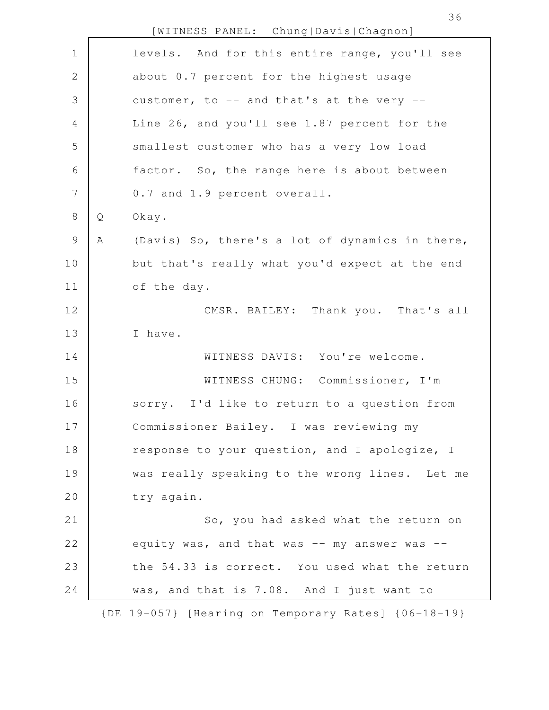| $\mathbf 1$    |   | levels. And for this entire range, you'll see       |
|----------------|---|-----------------------------------------------------|
| $\mathbf{2}$   |   | about 0.7 percent for the highest usage             |
| 3              |   | customer, to -- and that's at the very --           |
| $\overline{4}$ |   | Line 26, and you'll see 1.87 percent for the        |
| 5              |   | smallest customer who has a very low load           |
| 6              |   | factor. So, the range here is about between         |
| $\overline{7}$ |   | 0.7 and 1.9 percent overall.                        |
| $\,8\,$        | Q | Okay.                                               |
| $\mathcal{G}$  | Α | (Davis) So, there's a lot of dynamics in there,     |
| 10             |   | but that's really what you'd expect at the end      |
| 11             |   | of the day.                                         |
| 12             |   | CMSR. BAILEY: Thank you. That's all                 |
| 13             |   | I have.                                             |
| 14             |   | WITNESS DAVIS: You're welcome.                      |
| 15             |   | WITNESS CHUNG: Commissioner, I'm                    |
| 16             |   | sorry. I'd like to return to a question from        |
| 17             |   | Commissioner Bailey. I was reviewing my             |
| 18             |   | response to your question, and I apologize, I       |
| 19             |   | was really speaking to the wrong lines. Let me      |
| 20             |   | try again.                                          |
| 21             |   | So, you had asked what the return on                |
| 22             |   | equity was, and that was $--$ my answer was $--$    |
| 23             |   | the 54.33 is correct. You used what the return      |
| 24             |   | was, and that is 7.08. And I just want to           |
|                |   | {DE 19-057} [Hearing on Temporary Rates] {06-18-19} |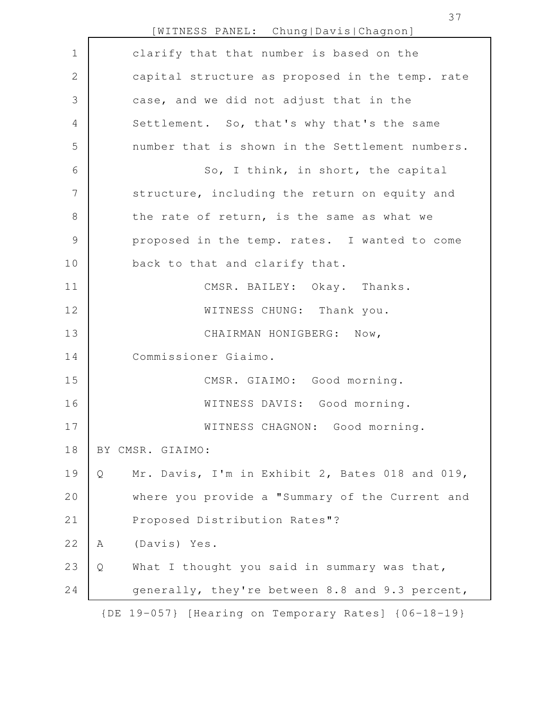[WITNESS PANEL: Chung|Davis|Chagnon] clarify that that number is based on the capital structure as proposed in the temp. rate case, and we did not adjust that in the Settlement. So, that's why that's the same number that is shown in the Settlement numbers. So, I think, in short, the capital structure, including the return on equity and the rate of return, is the same as what we proposed in the temp. rates. I wanted to come back to that and clarify that. CMSR. BAILEY: Okay. Thanks. WITNESS CHUNG: Thank you. CHAIRMAN HONIGBERG: Now, Commissioner Giaimo. CMSR. GIAIMO: Good morning. WITNESS DAVIS: Good morning. WITNESS CHAGNON: Good morning. BY CMSR. GIAIMO: Q Mr. Davis, I'm in Exhibit 2, Bates 018 and 019, where you provide a "Summary of the Current and Proposed Distribution Rates"? A (Davis) Yes. Q What I thought you said in summary was that, generally, they're between 8.8 and 9.3 percent, {DE 19-057} [Hearing on Temporary Rates] {06-18-19} 1 2 3 4 5 6 7 8 9 10 11 12 13 14 15 16 17 18 19 20 21 22 23 24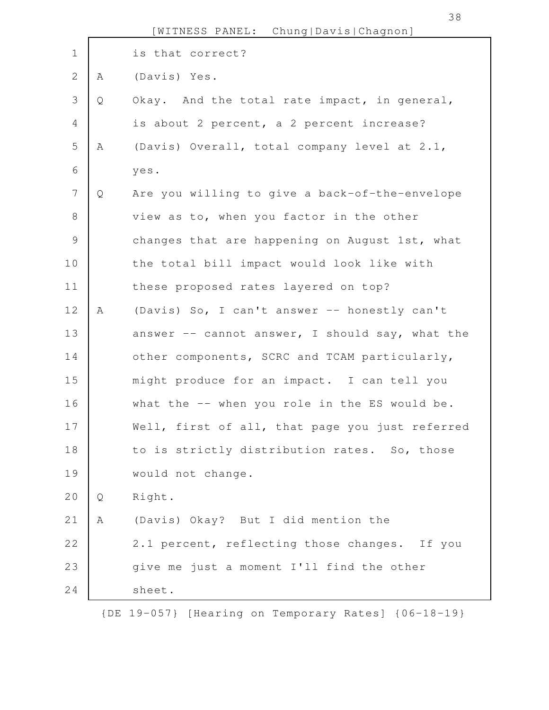|                |   | [WITNESS PANEL: Chung Davis Chagnon]            |
|----------------|---|-------------------------------------------------|
| $\mathbf 1$    |   | is that correct?                                |
| $\overline{2}$ | Α | (Davis) Yes.                                    |
| 3              | Q | Okay. And the total rate impact, in general,    |
| 4              |   | is about 2 percent, a 2 percent increase?       |
| 5              | Α | (Davis) Overall, total company level at 2.1,    |
| 6              |   | yes.                                            |
| 7              | Q | Are you willing to give a back-of-the-envelope  |
| $\,8\,$        |   | view as to, when you factor in the other        |
| $\mathcal{G}$  |   | changes that are happening on August 1st, what  |
| 10             |   | the total bill impact would look like with      |
| 11             |   | these proposed rates layered on top?            |
| 12             | Α | (Davis) So, I can't answer -- honestly can't    |
| 13             |   | answer -- cannot answer, I should say, what the |
| 14             |   | other components, SCRC and TCAM particularly,   |
| 15             |   | might produce for an impact. I can tell you     |
| 16             |   | what the -- when you role in the ES would be.   |
| 17             |   | Well, first of all, that page you just referred |
| 18             |   | to is strictly distribution rates. So, those    |
| 19             |   | would not change.                               |
| 20             | Q | Right.                                          |
| 21             | Α | (Davis) Okay? But I did mention the             |
| 22             |   | 2.1 percent, reflecting those changes. If you   |
| 23             |   | give me just a moment I'll find the other       |
| 24             |   | sheet.                                          |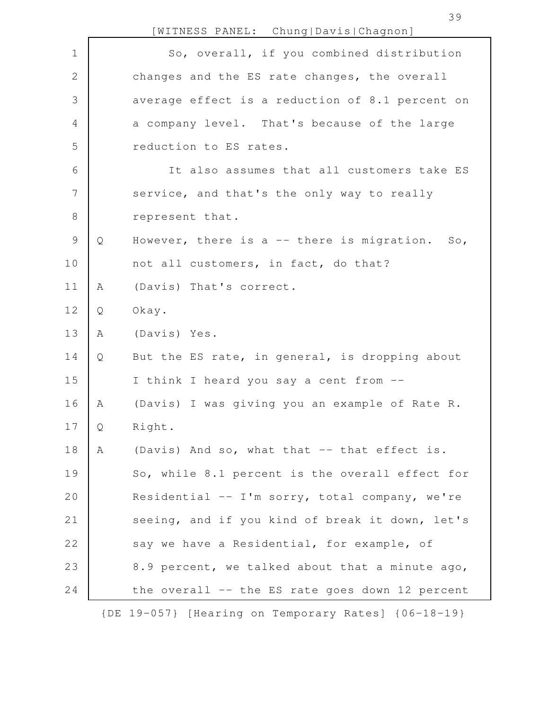|               |   | [WITNESS PANEL: Chung Davis Chagnon]                               |
|---------------|---|--------------------------------------------------------------------|
| $\mathbf 1$   |   | So, overall, if you combined distribution                          |
| $\mathbf{2}$  |   | changes and the ES rate changes, the overall                       |
| $\mathcal{S}$ |   | average effect is a reduction of 8.1 percent on                    |
| 4             |   | a company level. That's because of the large                       |
| 5             |   | reduction to ES rates.                                             |
| 6             |   | It also assumes that all customers take ES                         |
| 7             |   | service, and that's the only way to really                         |
| $8\,$         |   | represent that.                                                    |
| $\mathsf 9$   | Q | However, there is a -- there is migration.<br>$\mathsf{SO}_{\ell}$ |
| 10            |   | not all customers, in fact, do that?                               |
| 11            | Α | (Davis) That's correct.                                            |
| 12            | Q | Okay.                                                              |
| 13            | Α | (Davis) Yes.                                                       |
| 14            | Q | But the ES rate, in general, is dropping about                     |
| 15            |   | I think I heard you say a cent from --                             |
| 16            | A | (Davis) I was giving you an example of Rate R.                     |
| 17            | Q | Right.                                                             |
| 18            | Α | (Davis) And so, what that -- that effect is.                       |
| 19            |   | So, while 8.1 percent is the overall effect for                    |
| 20            |   | Residential -- I'm sorry, total company, we're                     |
| 21            |   | seeing, and if you kind of break it down, let's                    |
| 22            |   | say we have a Residential, for example, of                         |
| 23            |   | 8.9 percent, we talked about that a minute ago,                    |
| 24            |   | the overall -- the ES rate goes down 12 percent                    |
|               |   |                                                                    |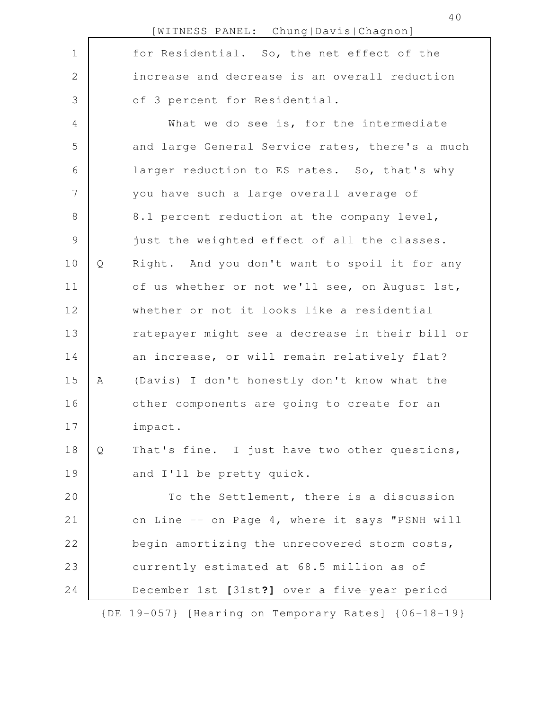|                 |   | [WITNESS PANEL: Chung Davis Chagnon]                |
|-----------------|---|-----------------------------------------------------|
| $\mathbf 1$     |   | for Residential. So, the net effect of the          |
| $\mathbf{2}$    |   | increase and decrease is an overall reduction       |
| $\mathfrak{Z}$  |   | of 3 percent for Residential.                       |
| $\overline{4}$  |   | What we do see is, for the intermediate             |
| 5               |   | and large General Service rates, there's a much     |
| 6               |   | larger reduction to ES rates. So, that's why        |
| $7\phantom{.0}$ |   | you have such a large overall average of            |
| 8               |   | 8.1 percent reduction at the company level,         |
| $\mathcal{G}$   |   | just the weighted effect of all the classes.        |
| 10              | Q | Right. And you don't want to spoil it for any       |
| 11              |   | of us whether or not we'll see, on August 1st,      |
| 12              |   | whether or not it looks like a residential          |
| 13              |   | ratepayer might see a decrease in their bill or     |
| 14              |   | an increase, or will remain relatively flat?        |
| 15              | Α | (Davis) I don't honestly don't know what the        |
| 16              |   | other components are going to create for an         |
| 17              |   | impact.                                             |
| 18              | Q | That's fine. I just have two other questions,       |
| 19              |   | and I'll be pretty quick.                           |
| 20              |   | To the Settlement, there is a discussion            |
| 21              |   | on Line -- on Page 4, where it says "PSNH will      |
| 22              |   | begin amortizing the unrecovered storm costs,       |
| 23              |   | currently estimated at 68.5 million as of           |
| 24              |   | December 1st [31st?] over a five-year period        |
|                 |   | {DE 19-057} [Hearing on Temporary Rates] {06-18-19} |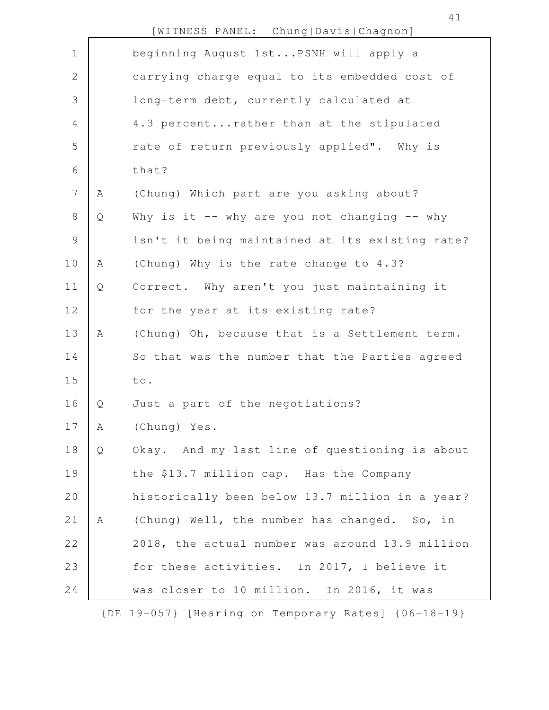|                |   | [WITNESS PANEL: Chung Davis Chagnon]            |
|----------------|---|-------------------------------------------------|
| $\mathbf 1$    |   | beginning August 1stPSNH will apply a           |
| $\mathbf 2$    |   | carrying charge equal to its embedded cost of   |
| $\mathfrak{Z}$ |   | long-term debt, currently calculated at         |
| $\overline{4}$ |   | 4.3 percentrather than at the stipulated        |
| 5              |   | rate of return previously applied". Why is      |
| 6              |   | that?                                           |
| 7              | Α | (Chung) Which part are you asking about?        |
| $\,8\,$        | Q | Why is it -- why are you not changing -- why    |
| $\mathcal{G}$  |   | isn't it being maintained at its existing rate? |
| 10             | Α | (Chung) Why is the rate change to 4.3?          |
| 11             | Q | Correct. Why aren't you just maintaining it     |
| 12             |   | for the year at its existing rate?              |
| 13             | Α | (Chung) Oh, because that is a Settlement term.  |
| 14             |   | So that was the number that the Parties agreed  |
| 15             |   | to.                                             |
| 16             | Q | Just a part of the negotiations?                |
| 17             | Α | (Chung) Yes.                                    |
| 18             | Q | Okay. And my last line of questioning is about  |
| 19             |   | the \$13.7 million cap. Has the Company         |
| 20             |   | historically been below 13.7 million in a year? |
| 21             | Α | (Chung) Well, the number has changed. So, in    |
| 22             |   | 2018, the actual number was around 13.9 million |
| 23             |   | for these activities. In 2017, I believe it     |
| 24             |   | was closer to 10 million. In 2016, it was       |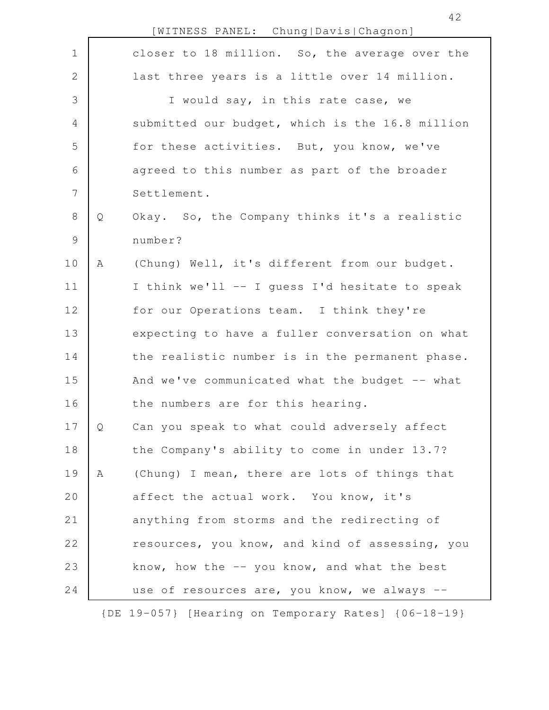|                |   | [WITNESS PANEL: Chung Davis Chagnon]            |
|----------------|---|-------------------------------------------------|
| $\mathbf 1$    |   | closer to 18 million. So, the average over the  |
| $\mathbf{2}$   |   | last three years is a little over 14 million.   |
| 3              |   | I would say, in this rate case, we              |
| $\overline{4}$ |   | submitted our budget, which is the 16.8 million |
| 5              |   | for these activities. But, you know, we've      |
| 6              |   | agreed to this number as part of the broader    |
| 7              |   | Settlement.                                     |
| $8\,$          | Q | Okay. So, the Company thinks it's a realistic   |
| $\mathsf 9$    |   | number?                                         |
| 10             | A | (Chung) Well, it's different from our budget.   |
| 11             |   | I think we'll -- I guess I'd hesitate to speak  |
| 12             |   | for our Operations team. I think they're        |
| 13             |   | expecting to have a fuller conversation on what |
| 14             |   | the realistic number is in the permanent phase. |
| 15             |   | And we've communicated what the budget -- what  |
| 16             |   | the numbers are for this hearing.               |
| 17             | Q | Can you speak to what could adversely affect    |
| 18             |   | the Company's ability to come in under 13.7?    |
| 19             | Α | (Chung) I mean, there are lots of things that   |
| 20             |   | affect the actual work. You know, it's          |
| 21             |   | anything from storms and the redirecting of     |
| 22             |   | resources, you know, and kind of assessing, you |
| 23             |   | know, how the $-$ you know, and what the best   |
| 24             |   | use of resources are, you know, we always --    |
|                |   |                                                 |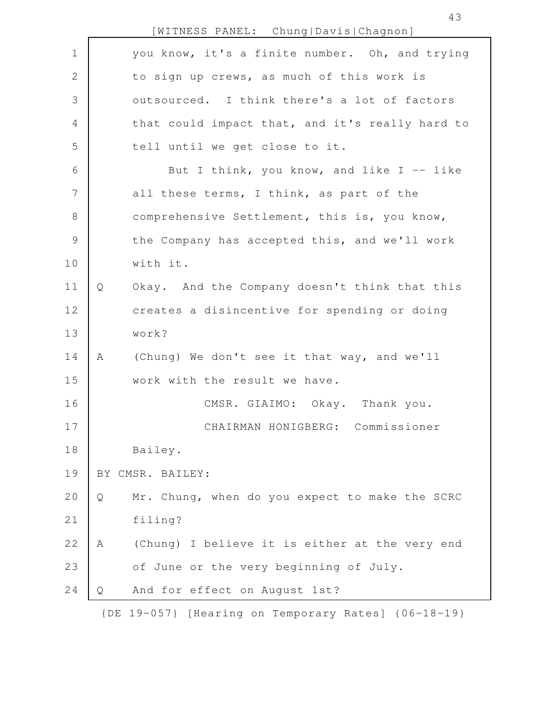|                |   | [WITNESS PANEL: Chung Davis Chagnon]                |
|----------------|---|-----------------------------------------------------|
| $\mathbf 1$    |   | you know, it's a finite number. Oh, and trying      |
| 2              |   | to sign up crews, as much of this work is           |
| 3              |   | outsourced. I think there's a lot of factors        |
| $\overline{4}$ |   | that could impact that, and it's really hard to     |
| 5              |   | tell until we get close to it.                      |
| $6\,$          |   | But I think, you know, and like I $-$ like          |
| 7              |   | all these terms, I think, as part of the            |
| $8\,$          |   | comprehensive Settlement, this is, you know,        |
| $\mathcal{G}$  |   | the Company has accepted this, and we'll work       |
| 10             |   | with it.                                            |
| 11             | Q | Okay. And the Company doesn't think that this       |
| 12             |   | creates a disincentive for spending or doing        |
| 13             |   | work?                                               |
| 14             | A | (Chung) We don't see it that way, and we'll         |
| 15             |   | work with the result we have.                       |
| 16             |   | CMSR. GIAIMO: Okay. Thank you.                      |
| 17             |   | CHAIRMAN HONIGBERG: Commissioner                    |
| 18             |   | Bailey.                                             |
| 19             |   | BY CMSR. BAILEY:                                    |
| 20             | Q | Mr. Chung, when do you expect to make the SCRC      |
| 21             |   | filing?                                             |
| 22             | Α | (Chung) I believe it is either at the very end      |
| 23             |   | of June or the very beginning of July.              |
| 24             | Q | And for effect on August 1st?                       |
|                |   | {DE 19-057} [Hearing on Temporary Rates] {06-18-19} |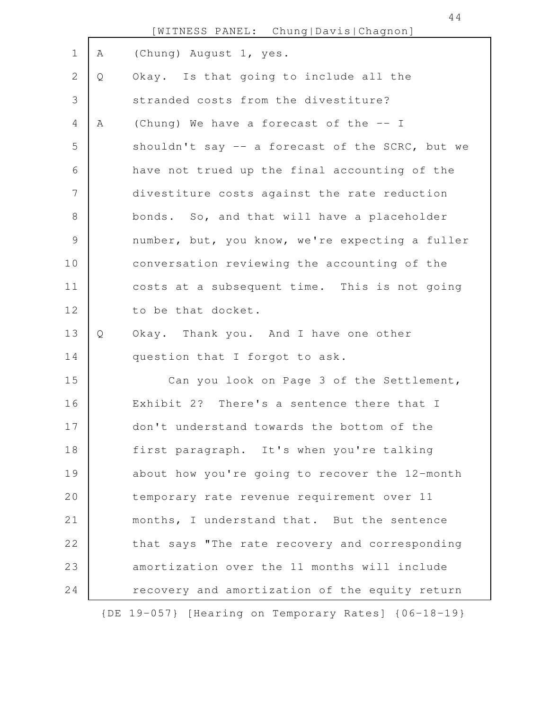|             |   | [WITNESS PANEL: Chung Davis Chagnon]                |
|-------------|---|-----------------------------------------------------|
| $\mathbf 1$ | A | (Chung) August 1, yes.                              |
| 2           | Q | Okay. Is that going to include all the              |
| 3           |   | stranded costs from the divestiture?                |
| 4           | Α | (Chung) We have a forecast of the -- I              |
| 5           |   | shouldn't say -- a forecast of the SCRC, but we     |
| 6           |   | have not trued up the final accounting of the       |
| 7           |   | divestiture costs against the rate reduction        |
| $8\,$       |   | bonds. So, and that will have a placeholder         |
| $\mathsf 9$ |   | number, but, you know, we're expecting a fuller     |
| 10          |   | conversation reviewing the accounting of the        |
| 11          |   | costs at a subsequent time. This is not going       |
| 12          |   | to be that docket.                                  |
| 13          | Q | Okay. Thank you. And I have one other               |
| 14          |   | question that I forgot to ask.                      |
| 15          |   | Can you look on Page 3 of the Settlement,           |
| 16          |   | Exhibit 2? There's a sentence there that I          |
| 17          |   | don't understand towards the bottom of the          |
| 18          |   | first paragraph. It's when you're talking           |
| 19          |   | about how you're going to recover the 12-month      |
| 20          |   | temporary rate revenue requirement over 11          |
| 21          |   | months, I understand that. But the sentence         |
| 22          |   | that says "The rate recovery and corresponding      |
| 23          |   | amortization over the 11 months will include        |
| 24          |   | recovery and amortization of the equity return      |
|             |   | {DE 19-057} [Hearing on Temporary Rates] {06-18-19} |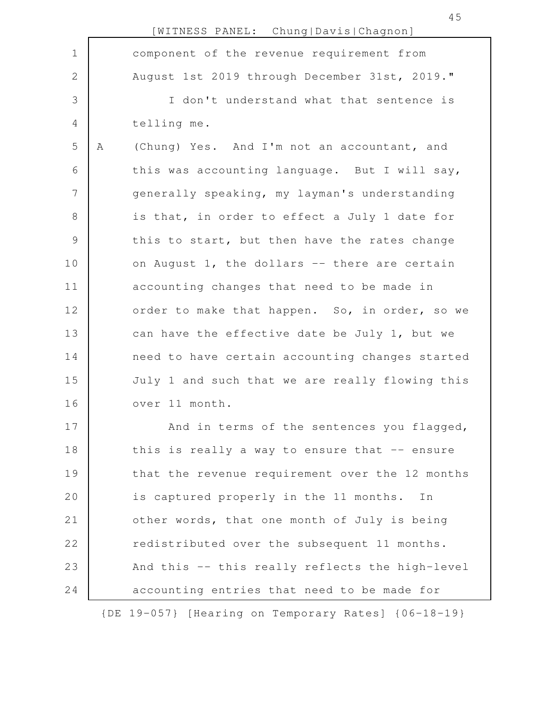|              |   | [WITNESS PANEL: Chung Davis Chagnon]                |
|--------------|---|-----------------------------------------------------|
| $\mathbf 1$  |   | component of the revenue requirement from           |
| $\mathbf{2}$ |   | August 1st 2019 through December 31st, 2019."       |
| 3            |   | I don't understand what that sentence is            |
| 4            |   | telling me.                                         |
| 5            | Α | (Chung) Yes. And I'm not an accountant, and         |
| 6            |   | this was accounting language. But I will say,       |
| 7            |   | generally speaking, my layman's understanding       |
| 8            |   | is that, in order to effect a July 1 date for       |
| $\mathsf 9$  |   | this to start, but then have the rates change       |
| 10           |   | on August 1, the dollars -- there are certain       |
| 11           |   | accounting changes that need to be made in          |
| 12           |   | order to make that happen. So, in order, so we      |
| 13           |   | can have the effective date be July 1, but we       |
| 14           |   | need to have certain accounting changes started     |
| 15           |   | July 1 and such that we are really flowing this     |
| 16           |   | over 11 month.                                      |
| 17           |   | And in terms of the sentences you flagged,          |
| 18           |   | this is really a way to ensure that $-$ ensure      |
| 19           |   | that the revenue requirement over the 12 months     |
| 20           |   | is captured properly in the 11 months. In           |
| 21           |   | other words, that one month of July is being        |
| 22           |   | redistributed over the subsequent 11 months.        |
| 23           |   | And this -- this really reflects the high-level     |
| 24           |   | accounting entries that need to be made for         |
|              |   | {DE 19-057} [Hearing on Temporary Rates] {06-18-19} |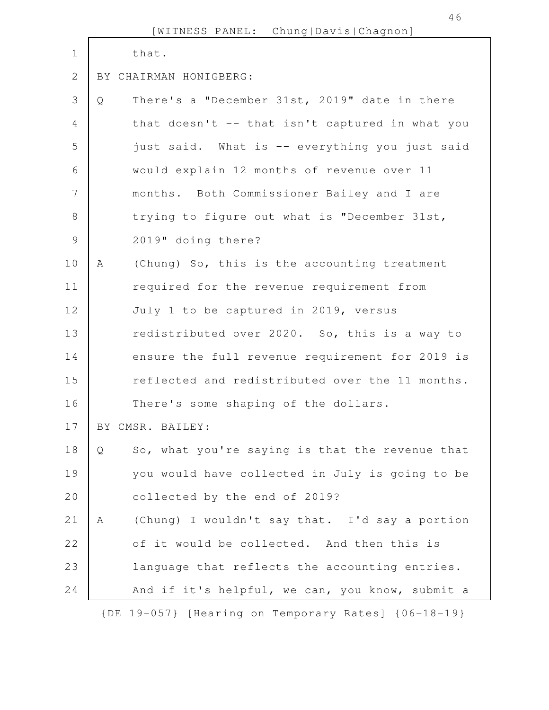|                |   | [WITNESS PANEL: Chung Davis Chagnon]                |
|----------------|---|-----------------------------------------------------|
| $\mathbf 1$    |   | that.                                               |
| $\overline{2}$ |   | BY CHAIRMAN HONIGBERG:                              |
| 3              | Q | There's a "December 31st, 2019" date in there       |
| 4              |   | that doesn't -- that isn't captured in what you     |
| 5              |   | just said. What is -- everything you just said      |
| 6              |   | would explain 12 months of revenue over 11          |
| 7              |   | months. Both Commissioner Bailey and I are          |
| 8              |   | trying to figure out what is "December 31st,        |
| $\mathcal{G}$  |   | 2019" doing there?                                  |
| 10             | A | (Chung) So, this is the accounting treatment        |
| 11             |   | required for the revenue requirement from           |
| 12             |   | July 1 to be captured in 2019, versus               |
| 13             |   | redistributed over 2020. So, this is a way to       |
| 14             |   | ensure the full revenue requirement for 2019 is     |
| 15             |   | reflected and redistributed over the 11 months.     |
| 16             |   | There's some shaping of the dollars.                |
| 17             |   | BY CMSR. BAILEY:                                    |
| 18             | Q | So, what you're saying is that the revenue that     |
| 19             |   | you would have collected in July is going to be     |
| 20             |   | collected by the end of 2019?                       |
| 21             | A | (Chung) I wouldn't say that. I'd say a portion      |
| 22             |   | of it would be collected. And then this is          |
| 23             |   | language that reflects the accounting entries.      |
| 24             |   | And if it's helpful, we can, you know, submit a     |
|                |   | {DE 19-057} [Hearing on Temporary Rates] {06-18-19} |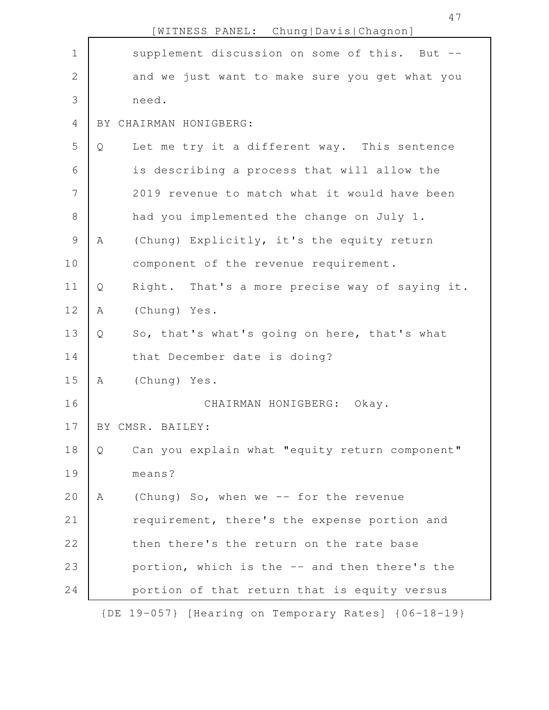|                |     | [WITNESS PANEL: Chung Davis Chagnon]                |
|----------------|-----|-----------------------------------------------------|
| $\mathbf 1$    |     | supplement discussion on some of this. But --       |
| $\mathbf{2}$   |     | and we just want to make sure you get what you      |
| 3              |     | need.                                               |
| $\overline{4}$ | BY. | CHAIRMAN HONIGBERG:                                 |
| 5              | Q   | Let me try it a different way. This sentence        |
| 6              |     | is describing a process that will allow the         |
| 7              |     | 2019 revenue to match what it would have been       |
| $8\,$          |     | had you implemented the change on July 1.           |
| $\mathsf 9$    | Α   | (Chung) Explicitly, it's the equity return          |
| 10             |     | component of the revenue requirement.               |
| 11             | Q   | Right. That's a more precise way of saying it.      |
| 12             | A   | (Chung) Yes.                                        |
| 13             | Q   | So, that's what's going on here, that's what        |
| 14             |     | that December date is doing?                        |
| 15             | A   | (Chung) Yes.                                        |
| 16             |     | CHAIRMAN HONIGBERG:<br>Okay.                        |
| 17             |     | BY CMSR. BAILEY:                                    |
| 18             | Q   | Can you explain what "equity return component"      |
| 19             |     | means?                                              |
| 20             | Α   | (Chung) So, when we -- for the revenue              |
| 21             |     | requirement, there's the expense portion and        |
| 22             |     | then there's the return on the rate base            |
| 23             |     | portion, which is the -- and then there's the       |
| 24             |     | portion of that return that is equity versus        |
|                |     | {DE 19-057} [Hearing on Temporary Rates] {06-18-19} |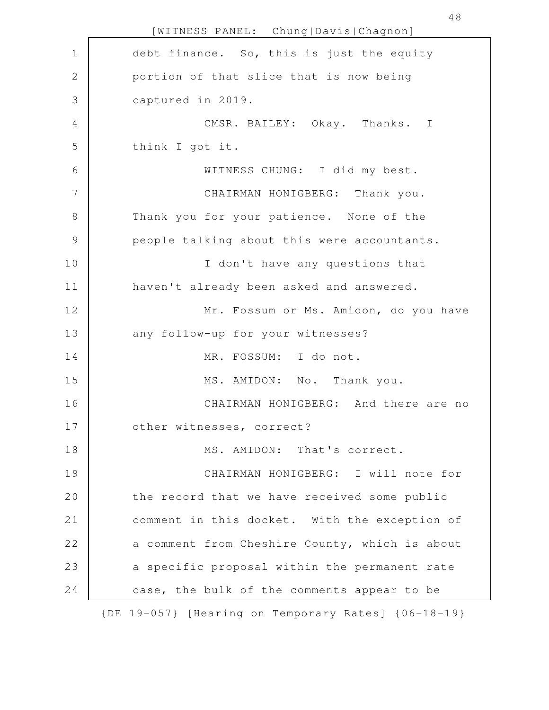[WITNESS PANEL: Chung|Davis|Chagnon] debt finance. So, this is just the equity portion of that slice that is now being captured in 2019. CMSR. BAILEY: Okay. Thanks. I think I got it. WITNESS CHUNG: I did my best. CHAIRMAN HONIGBERG: Thank you. Thank you for your patience. None of the people talking about this were accountants. I don't have any questions that haven't already been asked and answered. Mr. Fossum or Ms. Amidon, do you have any follow-up for your witnesses? MR. FOSSUM: I do not. MS. AMIDON: No. Thank you. CHAIRMAN HONIGBERG: And there are no other witnesses, correct? MS. AMIDON: That's correct. CHAIRMAN HONIGBERG: I will note for the record that we have received some public comment in this docket. With the exception of a comment from Cheshire County, which is about a specific proposal within the permanent rate case, the bulk of the comments appear to be {DE 19-057} [Hearing on Temporary Rates] {06-18-19} 1 2 3 4 5 6 7 8 9 10 11 12 13 14 15 16 17 18 19 20 21 22 23 24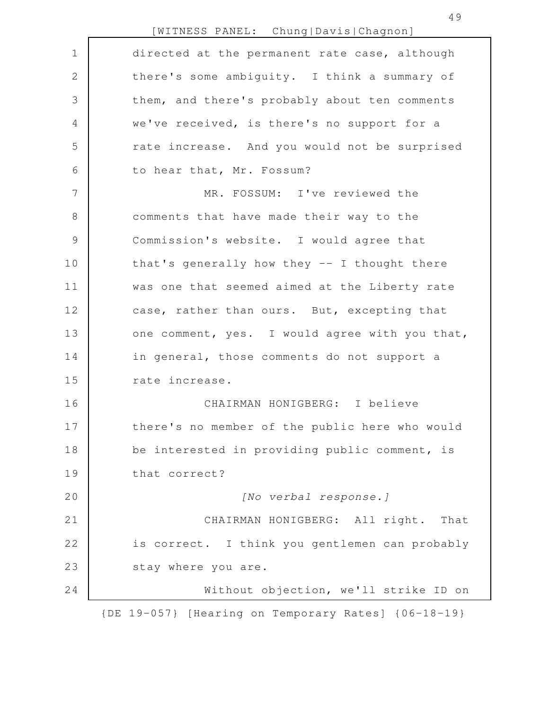[WITNESS PANEL: Chung|Davis|Chagnon]

| $\mathbf 1$   | directed at the permanent rate case, although       |
|---------------|-----------------------------------------------------|
| $\sqrt{2}$    | there's some ambiguity. I think a summary of        |
| 3             | them, and there's probably about ten comments       |
| 4             | we've received, is there's no support for a         |
| 5             | rate increase. And you would not be surprised       |
| 6             | to hear that, Mr. Fossum?                           |
| 7             | MR. FOSSUM: I've reviewed the                       |
| $\,8\,$       | comments that have made their way to the            |
| $\mathcal{G}$ | Commission's website. I would agree that            |
| 10            | that's generally how they -- I thought there        |
| 11            | was one that seemed aimed at the Liberty rate       |
| 12            | case, rather than ours. But, excepting that         |
| 13            | one comment, yes. I would agree with you that,      |
| 14            | in general, those comments do not support a         |
| 15            | rate increase.                                      |
| 16            | CHAIRMAN HONIGBERG: I believe                       |
| 17            | there's no member of the public here who would      |
| 18            | be interested in providing public comment, is       |
| 19            | that correct?                                       |
| 20            | [No verbal response.]                               |
| 21            | CHAIRMAN HONIGBERG: All right. That                 |
| 22            | is correct. I think you gentlemen can probably      |
| 23            | stay where you are.                                 |
| 24            | Without objection, we'll strike ID on               |
|               | {DE 19-057} [Hearing on Temporary Rates] {06-18-19} |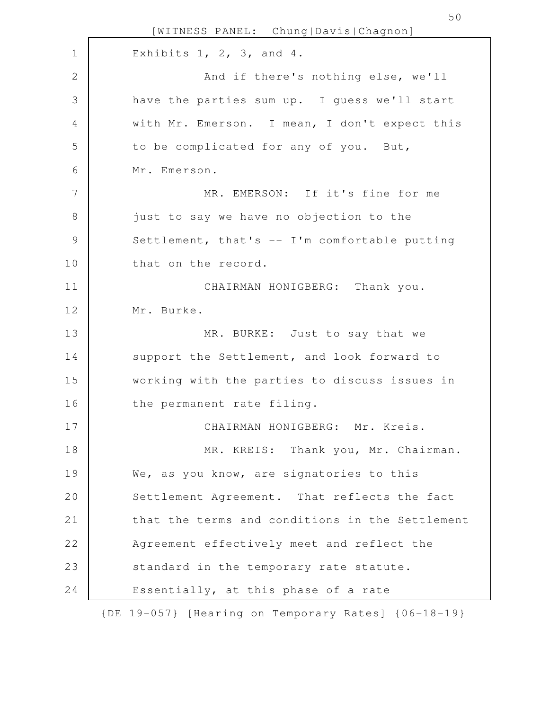[WITNESS PANEL: Chung|Davis|Chagnon] Exhibits  $1, 2, 3,$  and  $4.$ And if there's nothing else, we'll have the parties sum up. I guess we'll start with Mr. Emerson. I mean, I don't expect this to be complicated for any of you. But, Mr. Emerson. MR. EMERSON: If it's fine for me just to say we have no objection to the Settlement, that's -- I'm comfortable putting that on the record. CHAIRMAN HONIGBERG: Thank you. Mr. Burke. MR. BURKE: Just to say that we support the Settlement, and look forward to working with the parties to discuss issues in the permanent rate filing. CHAIRMAN HONIGBERG: Mr. Kreis. MR. KREIS: Thank you, Mr. Chairman. We, as you know, are signatories to this Settlement Agreement. That reflects the fact that the terms and conditions in the Settlement Agreement effectively meet and reflect the standard in the temporary rate statute. Essentially, at this phase of a rate 1 2 3 4 5 6 7 8 9 10 11 12 13 14 15 16 17 18 19 20 21 22 23 24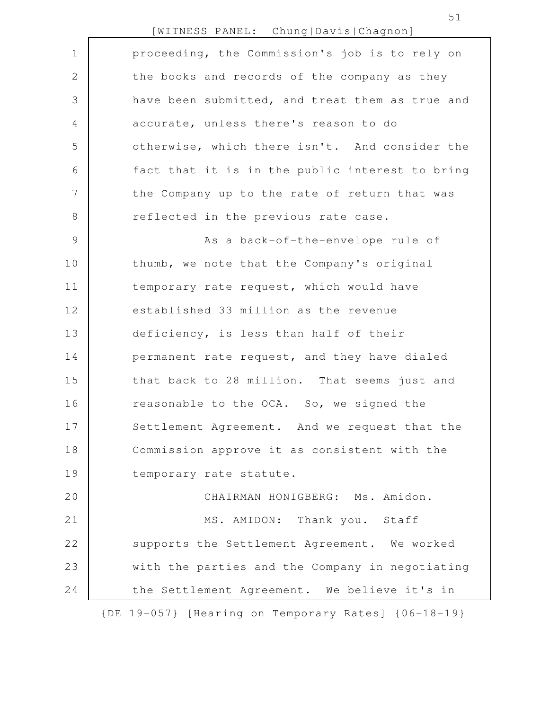| [WITNESS PANEL: |  | Chung   Davis   Chagnon] |  |
|-----------------|--|--------------------------|--|
|-----------------|--|--------------------------|--|

| $\mathbf 1$    | proceeding, the Commission's job is to rely on      |
|----------------|-----------------------------------------------------|
| $\mathbf{2}$   | the books and records of the company as they        |
| 3              | have been submitted, and treat them as true and     |
| $\overline{4}$ | accurate, unless there's reason to do               |
| 5              | otherwise, which there isn't. And consider the      |
| 6              | fact that it is in the public interest to bring     |
| 7              | the Company up to the rate of return that was       |
| $\,8\,$        | reflected in the previous rate case.                |
| $\mathcal{G}$  | As a back-of-the-envelope rule of                   |
| 10             | thumb, we note that the Company's original          |
| 11             | temporary rate request, which would have            |
| 12             | established 33 million as the revenue               |
| 13             | deficiency, is less than half of their              |
| 14             | permanent rate request, and they have dialed        |
| 15             | that back to 28 million. That seems just and        |
| 16             | reasonable to the OCA. So, we signed the            |
| 17             | Settlement Agreement. And we request that the       |
| 18             | Commission approve it as consistent with the        |
| 19             | temporary rate statute.                             |
| 20             | CHAIRMAN HONIGBERG: Ms. Amidon.                     |
| 21             | MS. AMIDON: Thank you. Staff                        |
| 22             | supports the Settlement Agreement. We worked        |
| 23             | with the parties and the Company in negotiating     |
| 24             | the Settlement Agreement. We believe it's in        |
|                | {DE 19-057} [Hearing on Temporary Rates] {06-18-19} |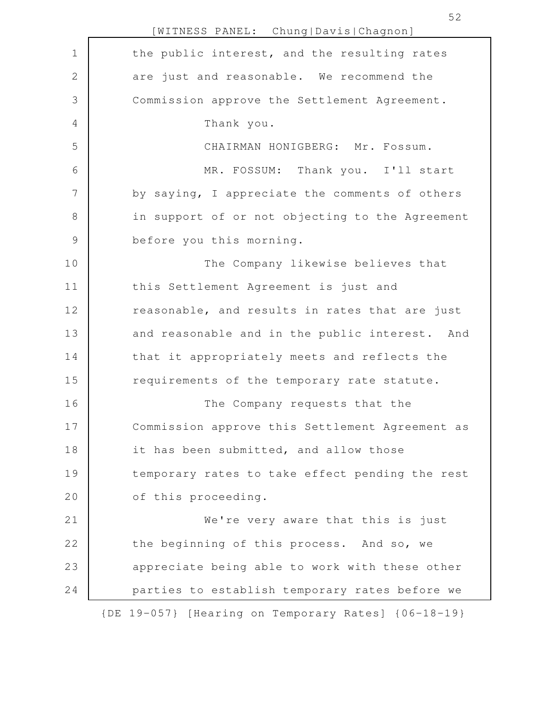|                | [WITNESS PANEL: Chung Davis Chagnon]                |
|----------------|-----------------------------------------------------|
| $\mathbf 1$    | the public interest, and the resulting rates        |
| 2              | are just and reasonable. We recommend the           |
| 3              | Commission approve the Settlement Agreement.        |
| 4              | Thank you.                                          |
| 5              | CHAIRMAN HONIGBERG: Mr. Fossum.                     |
| 6              | MR. FOSSUM: Thank you. I'll start                   |
| $\overline{7}$ | by saying, I appreciate the comments of others      |
| 8              | in support of or not objecting to the Agreement     |
| $\mathcal{G}$  | before you this morning.                            |
| 10             | The Company likewise believes that                  |
| 11             | this Settlement Agreement is just and               |
| 12             | reasonable, and results in rates that are just      |
| 13             | and reasonable and in the public interest. And      |
| 14             | that it appropriately meets and reflects the        |
| 15             | requirements of the temporary rate statute.         |
| 16             | The Company requests that the                       |
| 17             | Commission approve this Settlement Agreement as     |
| 18             | it has been submitted, and allow those              |
| 19             | temporary rates to take effect pending the rest     |
| 20             | of this proceeding.                                 |
| 21             | We're very aware that this is just                  |
| 22             | the beginning of this process. And so, we           |
| 23             | appreciate being able to work with these other      |
| 24             | parties to establish temporary rates before we      |
|                | {DE 19-057} [Hearing on Temporary Rates] {06-18-19} |